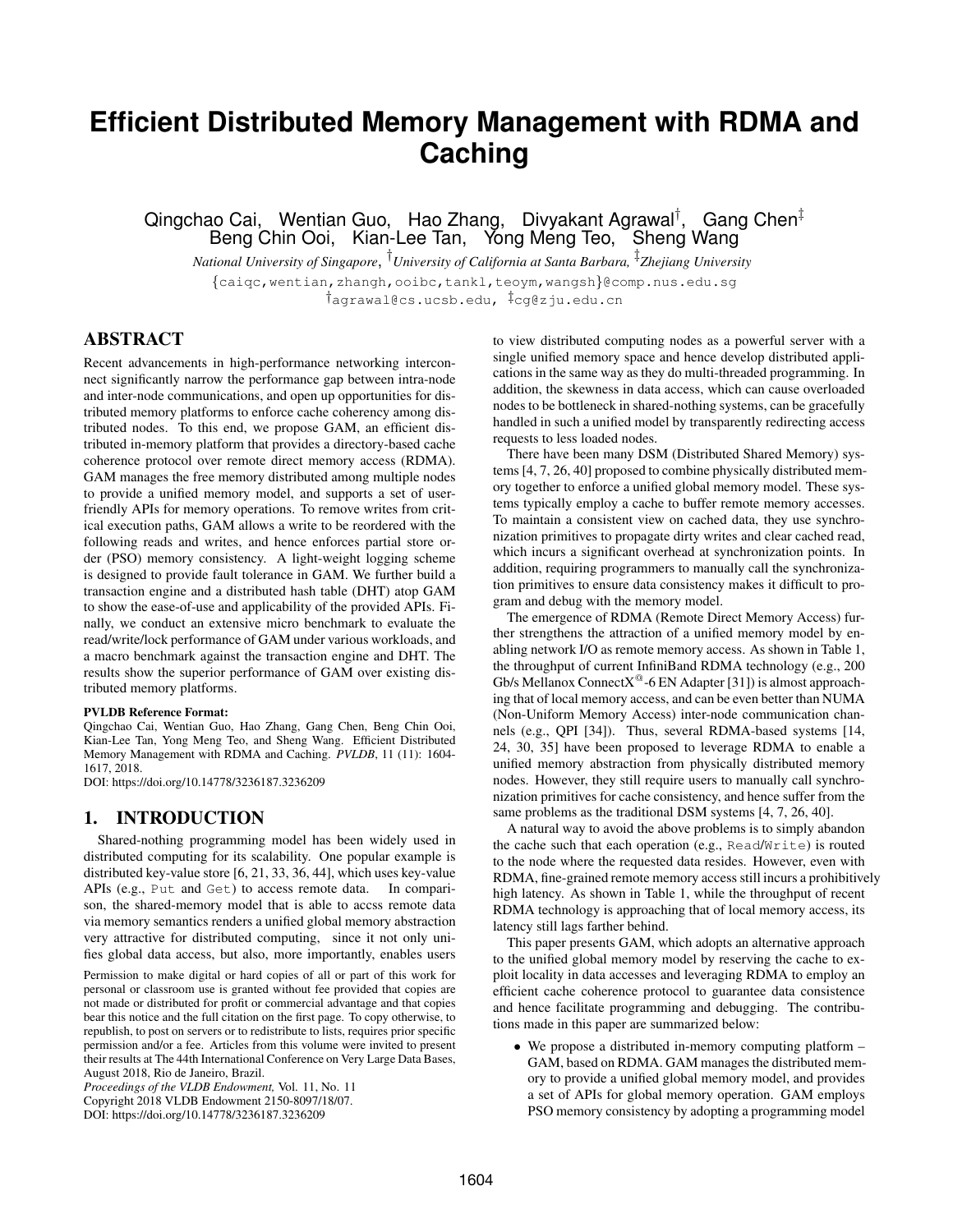# **Efficient Distributed Memory Management with RDMA and Caching**

Qingchao Cai, Wentian Guo, Hao Zhang, Divyakant Agrawal<sup>†</sup>, Gang Chen<sup>‡</sup> Beng Chin Ooi, Kian-Lee Tan, Yong Meng Teo, Sheng Wang

*National University of Singapore*, † *University of California at Santa Barbara,* ‡ *Zhejiang University* {caiqc,wentian,zhangh,ooibc,tankl,teoym,wangsh}@comp.nus.edu.sg †agrawal@cs.ucsb.edu, ‡cg@zju.edu.cn

# ABSTRACT

Recent advancements in high-performance networking interconnect significantly narrow the performance gap between intra-node and inter-node communications, and open up opportunities for distributed memory platforms to enforce cache coherency among distributed nodes. To this end, we propose GAM, an efficient distributed in-memory platform that provides a directory-based cache coherence protocol over remote direct memory access (RDMA). GAM manages the free memory distributed among multiple nodes to provide a unified memory model, and supports a set of userfriendly APIs for memory operations. To remove writes from critical execution paths, GAM allows a write to be reordered with the following reads and writes, and hence enforces partial store order (PSO) memory consistency. A light-weight logging scheme is designed to provide fault tolerance in GAM. We further build a transaction engine and a distributed hash table (DHT) atop GAM to show the ease-of-use and applicability of the provided APIs. Finally, we conduct an extensive micro benchmark to evaluate the read/write/lock performance of GAM under various workloads, and a macro benchmark against the transaction engine and DHT. The results show the superior performance of GAM over existing distributed memory platforms.

#### PVLDB Reference Format:

Qingchao Cai, Wentian Guo, Hao Zhang, Gang Chen, Beng Chin Ooi, Kian-Lee Tan, Yong Meng Teo, and Sheng Wang. Efficient Distributed Memory Management with RDMA and Caching. *PVLDB*, 11 (11): 1604- 1617, 2018.

DOI: https://doi.org/10.14778/3236187.3236209

#### 1. INTRODUCTION

Shared-nothing programming model has been widely used in distributed computing for its scalability. One popular example is distributed key-value store [6, 21, 33, 36, 44], which uses key-value APIs (e.g., Put and Get) to access remote data. In comparison, the shared-memory model that is able to accss remote data via memory semantics renders a unified global memory abstraction very attractive for distributed computing, since it not only unifies global data access, but also, more importantly, enables users

Permission to make digital or hard copies of all or part of this work for personal or classroom use is granted without fee provided that copies are not made or distributed for profit or commercial advantage and that copies bear this notice and the full citation on the first page. To copy otherwise, to republish, to post on servers or to redistribute to lists, requires prior specific permission and/or a fee. Articles from this volume were invited to present their results at The 44th International Conference on Very Large Data Bases, August 2018, Rio de Janeiro, Brazil.

*Proceedings of the VLDB Endowment,* Vol. 11, No. 11 Copyright 2018 VLDB Endowment 2150-8097/18/07. DOI: https://doi.org/10.14778/3236187.3236209

to view distributed computing nodes as a powerful server with a single unified memory space and hence develop distributed applications in the same way as they do multi-threaded programming. In addition, the skewness in data access, which can cause overloaded nodes to be bottleneck in shared-nothing systems, can be gracefully handled in such a unified model by transparently redirecting access requests to less loaded nodes.

There have been many DSM (Distributed Shared Memory) systems [4, 7, 26, 40] proposed to combine physically distributed memory together to enforce a unified global memory model. These systems typically employ a cache to buffer remote memory accesses. To maintain a consistent view on cached data, they use synchronization primitives to propagate dirty writes and clear cached read, which incurs a significant overhead at synchronization points. In addition, requiring programmers to manually call the synchronization primitives to ensure data consistency makes it difficult to program and debug with the memory model.

The emergence of RDMA (Remote Direct Memory Access) further strengthens the attraction of a unified memory model by enabling network I/O as remote memory access. As shown in Table 1, the throughput of current InfiniBand RDMA technology (e.g., 200 Gb/s Mellanox Connect $X^@$ -6 EN Adapter [31]) is almost approaching that of local memory access, and can be even better than NUMA (Non-Uniform Memory Access) inter-node communication channels (e.g., QPI [34]). Thus, several RDMA-based systems [14, 24, 30, 35] have been proposed to leverage RDMA to enable a unified memory abstraction from physically distributed memory nodes. However, they still require users to manually call synchronization primitives for cache consistency, and hence suffer from the same problems as the traditional DSM systems [4, 7, 26, 40].

A natural way to avoid the above problems is to simply abandon the cache such that each operation (e.g., Read/Write) is routed to the node where the requested data resides. However, even with RDMA, fine-grained remote memory access still incurs a prohibitively high latency. As shown in Table 1, while the throughput of recent RDMA technology is approaching that of local memory access, its latency still lags farther behind.

This paper presents GAM, which adopts an alternative approach to the unified global memory model by reserving the cache to exploit locality in data accesses and leveraging RDMA to employ an efficient cache coherence protocol to guarantee data consistence and hence facilitate programming and debugging. The contributions made in this paper are summarized below:

• We propose a distributed in-memory computing platform – GAM, based on RDMA. GAM manages the distributed memory to provide a unified global memory model, and provides a set of APIs for global memory operation. GAM employs PSO memory consistency by adopting a programming model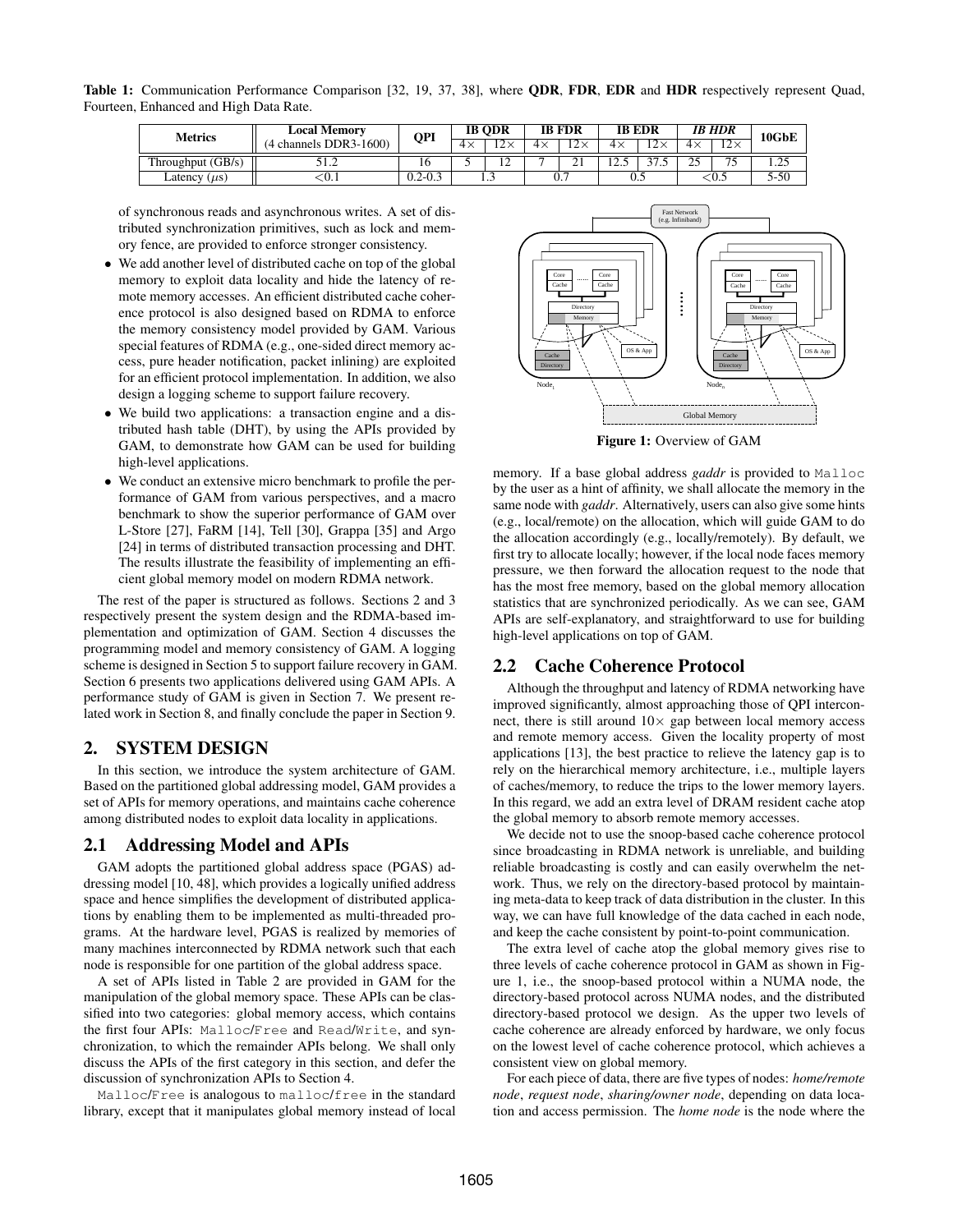Table 1: Communication Performance Comparison [32, 19, 37, 38], where ODR, FDR, EDR and HDR respectively represent Quad, Fourteen, Enhanced and High Data Rate.

| <b>Metrics</b>       | <b>Local Memorv</b><br>channels DDR3-1600) | QPI         | <b>IB ODR</b> |                         | <b>IB FDR</b> |    | <b>IB EDR</b>    |                | <b>IB HDR</b> |                                 | 10GbE |
|----------------------|--------------------------------------------|-------------|---------------|-------------------------|---------------|----|------------------|----------------|---------------|---------------------------------|-------|
|                      |                                            |             | 4×            | $12 -$<br>$\sim$ $\sim$ | $4\times$     |    | 4×               | $\sim$<br>- 12 | $4\times$     | $\overline{12}$<br>⊥∠ ∧         |       |
| Throughput $(GB/s)$  | $\overline{1}$ . $\overline{2}$            | 10.         |               | --                      |               | ∠⊥ | $\sim$<br>ن که ۱ | ^~<br>ن. ا ر   | nε            | $\overline{\phantom{a}}$<br>ر ، | ر __  |
| Latency<br>$(\mu s)$ | ∿∪.⊾                                       | $0.2 - 0.3$ |               | .                       |               | υ. |                  | v.J            |               | - U.J                           | 5-50  |

of synchronous reads and asynchronous writes. A set of distributed synchronization primitives, such as lock and memory fence, are provided to enforce stronger consistency.

- We add another level of distributed cache on top of the global memory to exploit data locality and hide the latency of remote memory accesses. An efficient distributed cache coherence protocol is also designed based on RDMA to enforce the memory consistency model provided by GAM. Various special features of RDMA (e.g., one-sided direct memory access, pure header notification, packet inlining) are exploited for an efficient protocol implementation. In addition, we also design a logging scheme to support failure recovery.
- We build two applications: a transaction engine and a distributed hash table (DHT), by using the APIs provided by GAM, to demonstrate how GAM can be used for building high-level applications.
- We conduct an extensive micro benchmark to profile the performance of GAM from various perspectives, and a macro benchmark to show the superior performance of GAM over L-Store [27], FaRM [14], Tell [30], Grappa [35] and Argo [24] in terms of distributed transaction processing and DHT. The results illustrate the feasibility of implementing an efficient global memory model on modern RDMA network.

The rest of the paper is structured as follows. Sections 2 and 3 respectively present the system design and the RDMA-based implementation and optimization of GAM. Section 4 discusses the programming model and memory consistency of GAM. A logging scheme is designed in Section 5 to support failure recovery in GAM. Section 6 presents two applications delivered using GAM APIs. A performance study of GAM is given in Section 7. We present related work in Section 8, and finally conclude the paper in Section 9.

## 2. SYSTEM DESIGN

In this section, we introduce the system architecture of GAM. Based on the partitioned global addressing model, GAM provides a set of APIs for memory operations, and maintains cache coherence among distributed nodes to exploit data locality in applications.

# 2.1 Addressing Model and APIs

GAM adopts the partitioned global address space (PGAS) addressing model [10, 48], which provides a logically unified address space and hence simplifies the development of distributed applications by enabling them to be implemented as multi-threaded programs. At the hardware level, PGAS is realized by memories of many machines interconnected by RDMA network such that each node is responsible for one partition of the global address space.

A set of APIs listed in Table 2 are provided in GAM for the manipulation of the global memory space. These APIs can be classified into two categories: global memory access, which contains the first four APIs: Malloc/Free and Read/Write, and synchronization, to which the remainder APIs belong. We shall only discuss the APIs of the first category in this section, and defer the discussion of synchronization APIs to Section 4.

Malloc/Free is analogous to malloc/free in the standard library, except that it manipulates global memory instead of local



Figure 1: Overview of GAM

memory. If a base global address *gaddr* is provided to Malloc by the user as a hint of affinity, we shall allocate the memory in the same node with *gaddr*. Alternatively, users can also give some hints (e.g., local/remote) on the allocation, which will guide GAM to do the allocation accordingly (e.g., locally/remotely). By default, we first try to allocate locally; however, if the local node faces memory pressure, we then forward the allocation request to the node that has the most free memory, based on the global memory allocation statistics that are synchronized periodically. As we can see, GAM APIs are self-explanatory, and straightforward to use for building high-level applications on top of GAM.

## 2.2 Cache Coherence Protocol

Although the throughput and latency of RDMA networking have improved significantly, almost approaching those of QPI interconnect, there is still around  $10\times$  gap between local memory access and remote memory access. Given the locality property of most applications [13], the best practice to relieve the latency gap is to rely on the hierarchical memory architecture, i.e., multiple layers of caches/memory, to reduce the trips to the lower memory layers. In this regard, we add an extra level of DRAM resident cache atop the global memory to absorb remote memory accesses.

We decide not to use the snoop-based cache coherence protocol since broadcasting in RDMA network is unreliable, and building reliable broadcasting is costly and can easily overwhelm the network. Thus, we rely on the directory-based protocol by maintaining meta-data to keep track of data distribution in the cluster. In this way, we can have full knowledge of the data cached in each node, and keep the cache consistent by point-to-point communication.

The extra level of cache atop the global memory gives rise to three levels of cache coherence protocol in GAM as shown in Figure 1, i.e., the snoop-based protocol within a NUMA node, the directory-based protocol across NUMA nodes, and the distributed directory-based protocol we design. As the upper two levels of cache coherence are already enforced by hardware, we only focus on the lowest level of cache coherence protocol, which achieves a consistent view on global memory.

For each piece of data, there are five types of nodes: *home/remote node*, *request node*, *sharing/owner node*, depending on data location and access permission. The *home node* is the node where the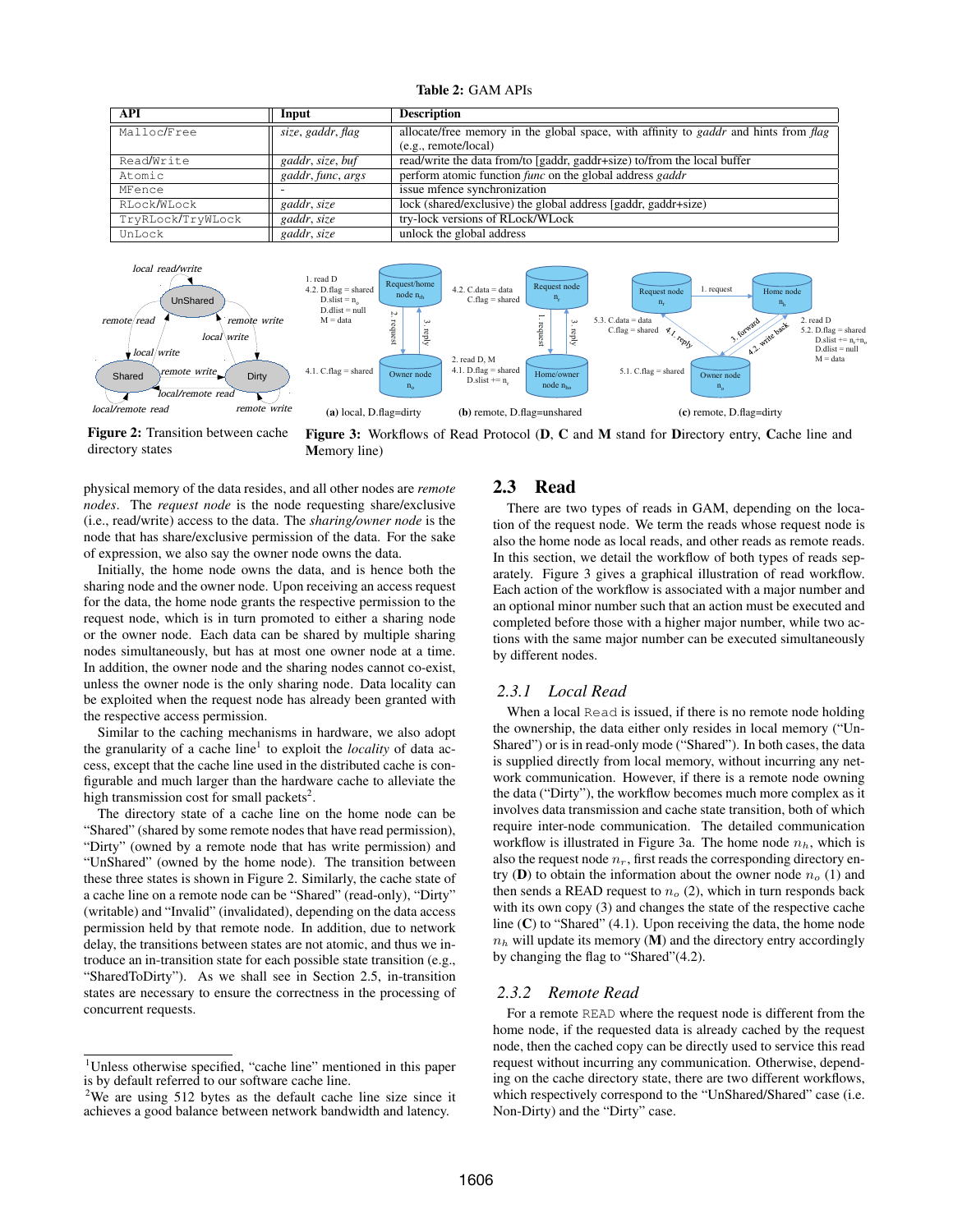| <b>Table 2: GAM APIs</b> |  |  |
|--------------------------|--|--|
|--------------------------|--|--|

| API               | Input             | <b>Description</b>                                                                                 |  |
|-------------------|-------------------|----------------------------------------------------------------------------------------------------|--|
| Malloc/Free       | size, gaddr, flag | allocate/free memory in the global space, with affinity to <i>gaddr</i> and hints from <i>flag</i> |  |
|                   |                   | (e.g., remote/local)                                                                               |  |
| Read/Write        | gaddr, size, buf  | read/write the data from/to [gaddr, gaddr+size) to/from the local buffer                           |  |
| Atomic            | gaddr, func, args | perform atomic function <i>func</i> on the global address <i>gaddr</i>                             |  |
| MFence            |                   | issue mfence synchronization                                                                       |  |
| RLock/WLock       | gaddr, size       | lock (shared/exclusive) the global address [gaddr, gaddr+size)                                     |  |
| TryRLock/TryWLock | gaddr, size       | try-lock versions of RLock/WLock                                                                   |  |
| UnLock            | gaddr, size       | unlock the global address                                                                          |  |



Figure 2: Transition between cache directory states

Figure 3: Workflows of Read Protocol (D, C and M stand for Directory entry, Cache line and Memory line)

physical memory of the data resides, and all other nodes are *remote nodes*. The *request node* is the node requesting share/exclusive (i.e., read/write) access to the data. The *sharing/owner node* is the node that has share/exclusive permission of the data. For the sake of expression, we also say the owner node owns the data.

Initially, the home node owns the data, and is hence both the sharing node and the owner node. Upon receiving an access request for the data, the home node grants the respective permission to the request node, which is in turn promoted to either a sharing node or the owner node. Each data can be shared by multiple sharing nodes simultaneously, but has at most one owner node at a time. In addition, the owner node and the sharing nodes cannot co-exist, unless the owner node is the only sharing node. Data locality can be exploited when the request node has already been granted with the respective access permission.

Similar to the caching mechanisms in hardware, we also adopt the granularity of a cache line<sup>1</sup> to exploit the *locality* of data access, except that the cache line used in the distributed cache is configurable and much larger than the hardware cache to alleviate the high transmission cost for small packets<sup>2</sup>.

The directory state of a cache line on the home node can be "Shared" (shared by some remote nodes that have read permission), "Dirty" (owned by a remote node that has write permission) and "UnShared" (owned by the home node). The transition between these three states is shown in Figure 2. Similarly, the cache state of a cache line on a remote node can be "Shared" (read-only), "Dirty" (writable) and "Invalid" (invalidated), depending on the data access permission held by that remote node. In addition, due to network delay, the transitions between states are not atomic, and thus we introduce an in-transition state for each possible state transition (e.g., "SharedToDirty"). As we shall see in Section 2.5, in-transition states are necessary to ensure the correctness in the processing of concurrent requests.

# 2.3 Read

There are two types of reads in GAM, depending on the location of the request node. We term the reads whose request node is also the home node as local reads, and other reads as remote reads. In this section, we detail the workflow of both types of reads separately. Figure 3 gives a graphical illustration of read workflow. Each action of the workflow is associated with a major number and an optional minor number such that an action must be executed and completed before those with a higher major number, while two actions with the same major number can be executed simultaneously by different nodes.

## *2.3.1 Local Read*

When a local Read is issued, if there is no remote node holding the ownership, the data either only resides in local memory ("Un-Shared") or is in read-only mode ("Shared"). In both cases, the data is supplied directly from local memory, without incurring any network communication. However, if there is a remote node owning the data ("Dirty"), the workflow becomes much more complex as it involves data transmission and cache state transition, both of which require inter-node communication. The detailed communication workflow is illustrated in Figure 3a. The home node  $n_h$ , which is also the request node  $n_r$ , first reads the corresponding directory entry (D) to obtain the information about the owner node  $n<sub>o</sub>$  (1) and then sends a READ request to  $n<sub>o</sub>$  (2), which in turn responds back with its own copy (3) and changes the state of the respective cache line  $(C)$  to "Shared" (4.1). Upon receiving the data, the home node  $n_h$  will update its memory (M) and the directory entry accordingly by changing the flag to "Shared"(4.2).

# *2.3.2 Remote Read*

For a remote READ where the request node is different from the home node, if the requested data is already cached by the request node, then the cached copy can be directly used to service this read request without incurring any communication. Otherwise, depending on the cache directory state, there are two different workflows, which respectively correspond to the "UnShared/Shared" case (i.e. Non-Dirty) and the "Dirty" case.

<sup>1</sup>Unless otherwise specified, "cache line" mentioned in this paper is by default referred to our software cache line.

<sup>&</sup>lt;sup>2</sup>We are using 512 bytes as the default cache line size since it achieves a good balance between network bandwidth and latency.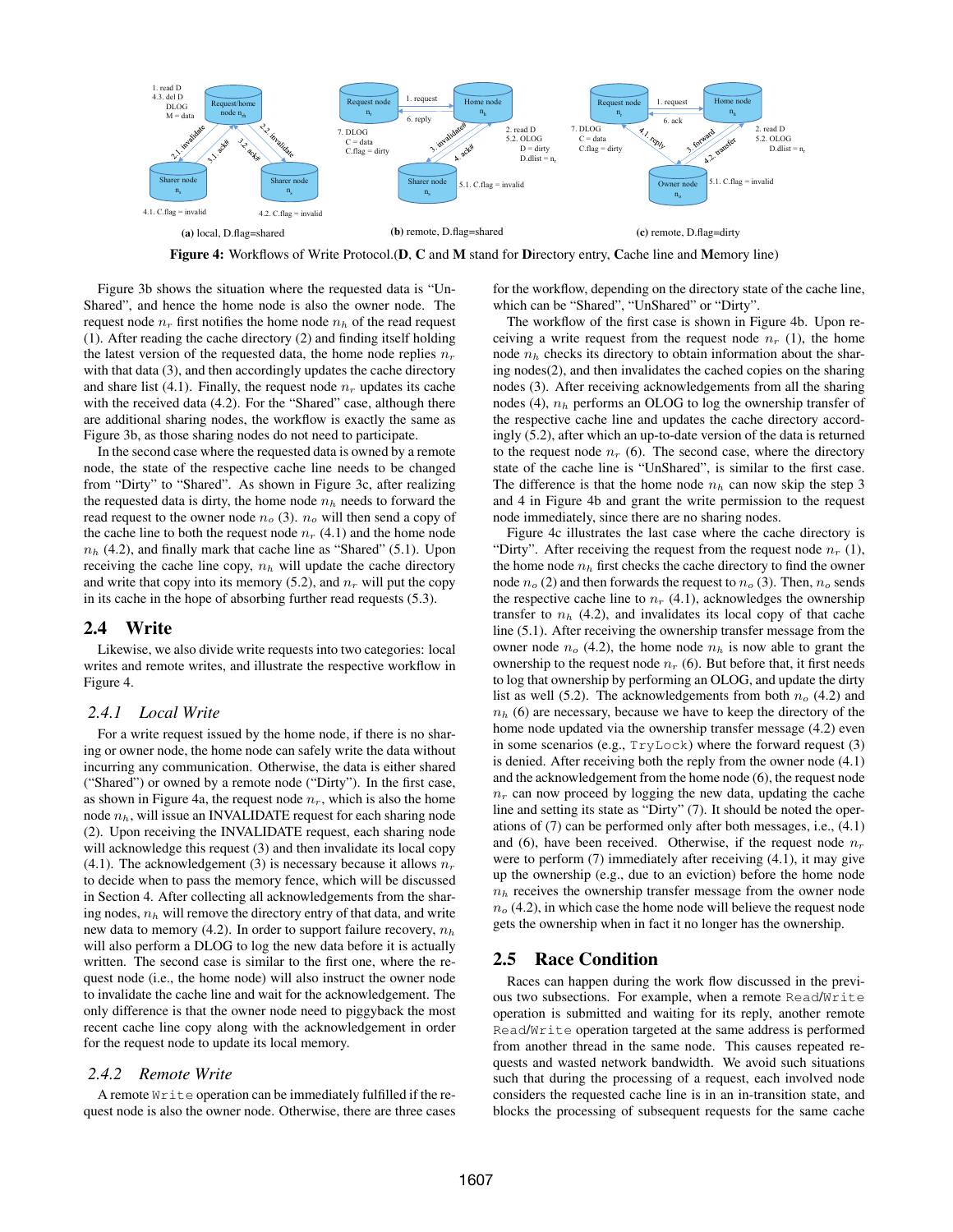

Figure 4: Workflows of Write Protocol.(D, C and M stand for Directory entry, Cache line and Memory line)

Figure 3b shows the situation where the requested data is "Un-Shared", and hence the home node is also the owner node. The request node  $n_r$  first notifies the home node  $n_h$  of the read request (1). After reading the cache directory (2) and finding itself holding the latest version of the requested data, the home node replies  $n_r$ with that data (3), and then accordingly updates the cache directory and share list (4.1). Finally, the request node  $n_r$  updates its cache with the received data (4.2). For the "Shared" case, although there are additional sharing nodes, the workflow is exactly the same as Figure 3b, as those sharing nodes do not need to participate.

In the second case where the requested data is owned by a remote node, the state of the respective cache line needs to be changed from "Dirty" to "Shared". As shown in Figure 3c, after realizing the requested data is dirty, the home node  $n_h$  needs to forward the read request to the owner node  $n<sub>o</sub>$  (3).  $n<sub>o</sub>$  will then send a copy of the cache line to both the request node  $n_r$  (4.1) and the home node  $n_h$  (4.2), and finally mark that cache line as "Shared" (5.1). Upon receiving the cache line copy,  $n_h$  will update the cache directory and write that copy into its memory  $(5.2)$ , and  $n_r$  will put the copy in its cache in the hope of absorbing further read requests (5.3).

## 2.4 Write

Likewise, we also divide write requests into two categories: local writes and remote writes, and illustrate the respective workflow in Figure 4.

#### *2.4.1 Local Write*

For a write request issued by the home node, if there is no sharing or owner node, the home node can safely write the data without incurring any communication. Otherwise, the data is either shared ("Shared") or owned by a remote node ("Dirty"). In the first case, as shown in Figure 4a, the request node  $n_r$ , which is also the home node  $n_h$ , will issue an INVALIDATE request for each sharing node (2). Upon receiving the INVALIDATE request, each sharing node will acknowledge this request (3) and then invalidate its local copy (4.1). The acknowledgement (3) is necessary because it allows  $n_r$ to decide when to pass the memory fence, which will be discussed in Section 4. After collecting all acknowledgements from the sharing nodes,  $n_h$  will remove the directory entry of that data, and write new data to memory (4.2). In order to support failure recovery,  $n_h$ will also perform a DLOG to log the new data before it is actually written. The second case is similar to the first one, where the request node (i.e., the home node) will also instruct the owner node to invalidate the cache line and wait for the acknowledgement. The only difference is that the owner node need to piggyback the most recent cache line copy along with the acknowledgement in order for the request node to update its local memory.

#### *2.4.2 Remote Write*

A remote Write operation can be immediately fulfilled if the request node is also the owner node. Otherwise, there are three cases for the workflow, depending on the directory state of the cache line, which can be "Shared", "UnShared" or "Dirty".

The workflow of the first case is shown in Figure 4b. Upon receiving a write request from the request node  $n_r$  (1), the home node  $n_h$  checks its directory to obtain information about the sharing nodes(2), and then invalidates the cached copies on the sharing nodes (3). After receiving acknowledgements from all the sharing nodes (4),  $n_h$  performs an OLOG to log the ownership transfer of the respective cache line and updates the cache directory accordingly (5.2), after which an up-to-date version of the data is returned to the request node  $n_r$  (6). The second case, where the directory state of the cache line is "UnShared", is similar to the first case. The difference is that the home node  $n_h$  can now skip the step 3 and 4 in Figure 4b and grant the write permission to the request node immediately, since there are no sharing nodes.

Figure 4c illustrates the last case where the cache directory is "Dirty". After receiving the request from the request node  $n_r$  (1), the home node  $n_h$  first checks the cache directory to find the owner node  $n_o$  (2) and then forwards the request to  $n_o$  (3). Then,  $n_o$  sends the respective cache line to  $n_r$  (4.1), acknowledges the ownership transfer to  $n_h$  (4.2), and invalidates its local copy of that cache line (5.1). After receiving the ownership transfer message from the owner node  $n_o$  (4.2), the home node  $n_h$  is now able to grant the ownership to the request node  $n_r$  (6). But before that, it first needs to log that ownership by performing an OLOG, and update the dirty list as well (5.2). The acknowledgements from both  $n<sub>o</sub>$  (4.2) and  $n_h$  (6) are necessary, because we have to keep the directory of the home node updated via the ownership transfer message (4.2) even in some scenarios (e.g., TryLock) where the forward request (3) is denied. After receiving both the reply from the owner node (4.1) and the acknowledgement from the home node (6), the request node  $n_r$  can now proceed by logging the new data, updating the cache line and setting its state as "Dirty" (7). It should be noted the operations of (7) can be performed only after both messages, i.e., (4.1) and (6), have been received. Otherwise, if the request node  $n_r$ were to perform (7) immediately after receiving (4.1), it may give up the ownership (e.g., due to an eviction) before the home node  $n<sub>h</sub>$  receives the ownership transfer message from the owner node  $n<sub>o</sub>$  (4.2), in which case the home node will believe the request node gets the ownership when in fact it no longer has the ownership.

## 2.5 Race Condition

Races can happen during the work flow discussed in the previous two subsections. For example, when a remote Read/Write operation is submitted and waiting for its reply, another remote Read/Write operation targeted at the same address is performed from another thread in the same node. This causes repeated requests and wasted network bandwidth. We avoid such situations such that during the processing of a request, each involved node considers the requested cache line is in an in-transition state, and blocks the processing of subsequent requests for the same cache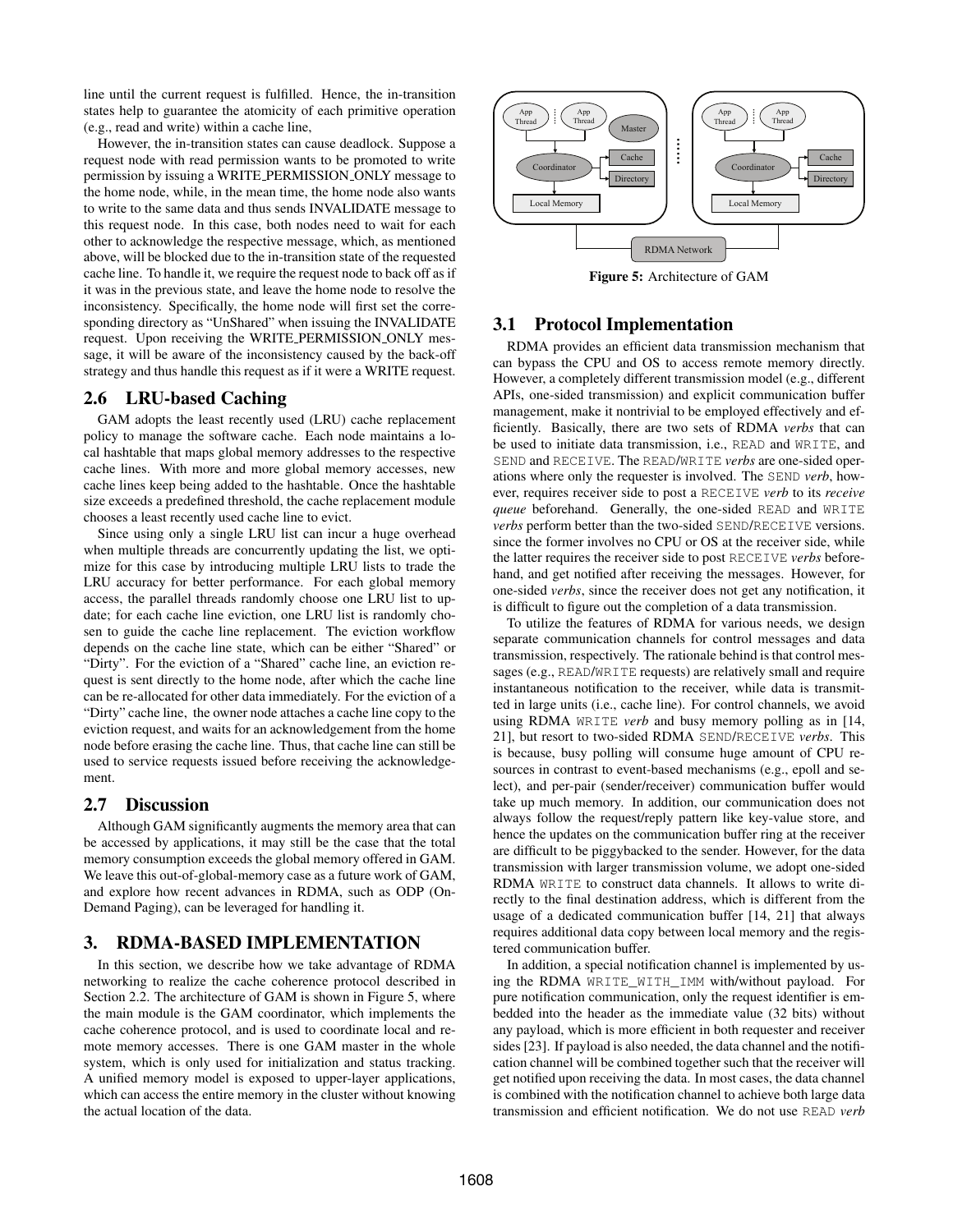line until the current request is fulfilled. Hence, the in-transition states help to guarantee the atomicity of each primitive operation (e.g., read and write) within a cache line,

However, the in-transition states can cause deadlock. Suppose a request node with read permission wants to be promoted to write permission by issuing a WRITE PERMISSION ONLY message to the home node, while, in the mean time, the home node also wants to write to the same data and thus sends INVALIDATE message to this request node. In this case, both nodes need to wait for each other to acknowledge the respective message, which, as mentioned above, will be blocked due to the in-transition state of the requested cache line. To handle it, we require the request node to back off as if it was in the previous state, and leave the home node to resolve the inconsistency. Specifically, the home node will first set the corresponding directory as "UnShared" when issuing the INVALIDATE request. Upon receiving the WRITE PERMISSION ONLY message, it will be aware of the inconsistency caused by the back-off strategy and thus handle this request as if it were a WRITE request.

# 2.6 LRU-based Caching

GAM adopts the least recently used (LRU) cache replacement policy to manage the software cache. Each node maintains a local hashtable that maps global memory addresses to the respective cache lines. With more and more global memory accesses, new cache lines keep being added to the hashtable. Once the hashtable size exceeds a predefined threshold, the cache replacement module chooses a least recently used cache line to evict.

Since using only a single LRU list can incur a huge overhead when multiple threads are concurrently updating the list, we optimize for this case by introducing multiple LRU lists to trade the LRU accuracy for better performance. For each global memory access, the parallel threads randomly choose one LRU list to update; for each cache line eviction, one LRU list is randomly chosen to guide the cache line replacement. The eviction workflow depends on the cache line state, which can be either "Shared" or "Dirty". For the eviction of a "Shared" cache line, an eviction request is sent directly to the home node, after which the cache line can be re-allocated for other data immediately. For the eviction of a "Dirty" cache line, the owner node attaches a cache line copy to the eviction request, and waits for an acknowledgement from the home node before erasing the cache line. Thus, that cache line can still be used to service requests issued before receiving the acknowledgement.

# 2.7 Discussion

Although GAM significantly augments the memory area that can be accessed by applications, it may still be the case that the total memory consumption exceeds the global memory offered in GAM. We leave this out-of-global-memory case as a future work of GAM, and explore how recent advances in RDMA, such as ODP (On-Demand Paging), can be leveraged for handling it.

#### 3. RDMA-BASED IMPLEMENTATION

In this section, we describe how we take advantage of RDMA networking to realize the cache coherence protocol described in Section 2.2. The architecture of GAM is shown in Figure 5, where the main module is the GAM coordinator, which implements the cache coherence protocol, and is used to coordinate local and remote memory accesses. There is one GAM master in the whole system, which is only used for initialization and status tracking. A unified memory model is exposed to upper-layer applications, which can access the entire memory in the cluster without knowing the actual location of the data.



Figure 5: Architecture of GAM

# 3.1 Protocol Implementation

RDMA provides an efficient data transmission mechanism that can bypass the CPU and OS to access remote memory directly. However, a completely different transmission model (e.g., different APIs, one-sided transmission) and explicit communication buffer management, make it nontrivial to be employed effectively and efficiently. Basically, there are two sets of RDMA *verbs* that can be used to initiate data transmission, i.e., READ and WRITE, and SEND and RECEIVE. The READ/WRITE *verbs* are one-sided operations where only the requester is involved. The SEND *verb*, however, requires receiver side to post a RECEIVE *verb* to its *receive queue* beforehand. Generally, the one-sided READ and WRITE *verbs* perform better than the two-sided SEND/RECEIVE versions. since the former involves no CPU or OS at the receiver side, while the latter requires the receiver side to post RECEIVE *verbs* beforehand, and get notified after receiving the messages. However, for one-sided *verbs*, since the receiver does not get any notification, it is difficult to figure out the completion of a data transmission.

To utilize the features of RDMA for various needs, we design separate communication channels for control messages and data transmission, respectively. The rationale behind is that control messages (e.g., READ/WRITE requests) are relatively small and require instantaneous notification to the receiver, while data is transmitted in large units (i.e., cache line). For control channels, we avoid using RDMA WRITE *verb* and busy memory polling as in [14, 21], but resort to two-sided RDMA SEND/RECEIVE *verbs*. This is because, busy polling will consume huge amount of CPU resources in contrast to event-based mechanisms (e.g., epoll and select), and per-pair (sender/receiver) communication buffer would take up much memory. In addition, our communication does not always follow the request/reply pattern like key-value store, and hence the updates on the communication buffer ring at the receiver are difficult to be piggybacked to the sender. However, for the data transmission with larger transmission volume, we adopt one-sided RDMA WRITE to construct data channels. It allows to write directly to the final destination address, which is different from the usage of a dedicated communication buffer [14, 21] that always requires additional data copy between local memory and the registered communication buffer.

In addition, a special notification channel is implemented by using the RDMA WRITE\_WITH\_IMM with/without payload. For pure notification communication, only the request identifier is embedded into the header as the immediate value (32 bits) without any payload, which is more efficient in both requester and receiver sides [23]. If payload is also needed, the data channel and the notification channel will be combined together such that the receiver will get notified upon receiving the data. In most cases, the data channel is combined with the notification channel to achieve both large data transmission and efficient notification. We do not use READ *verb*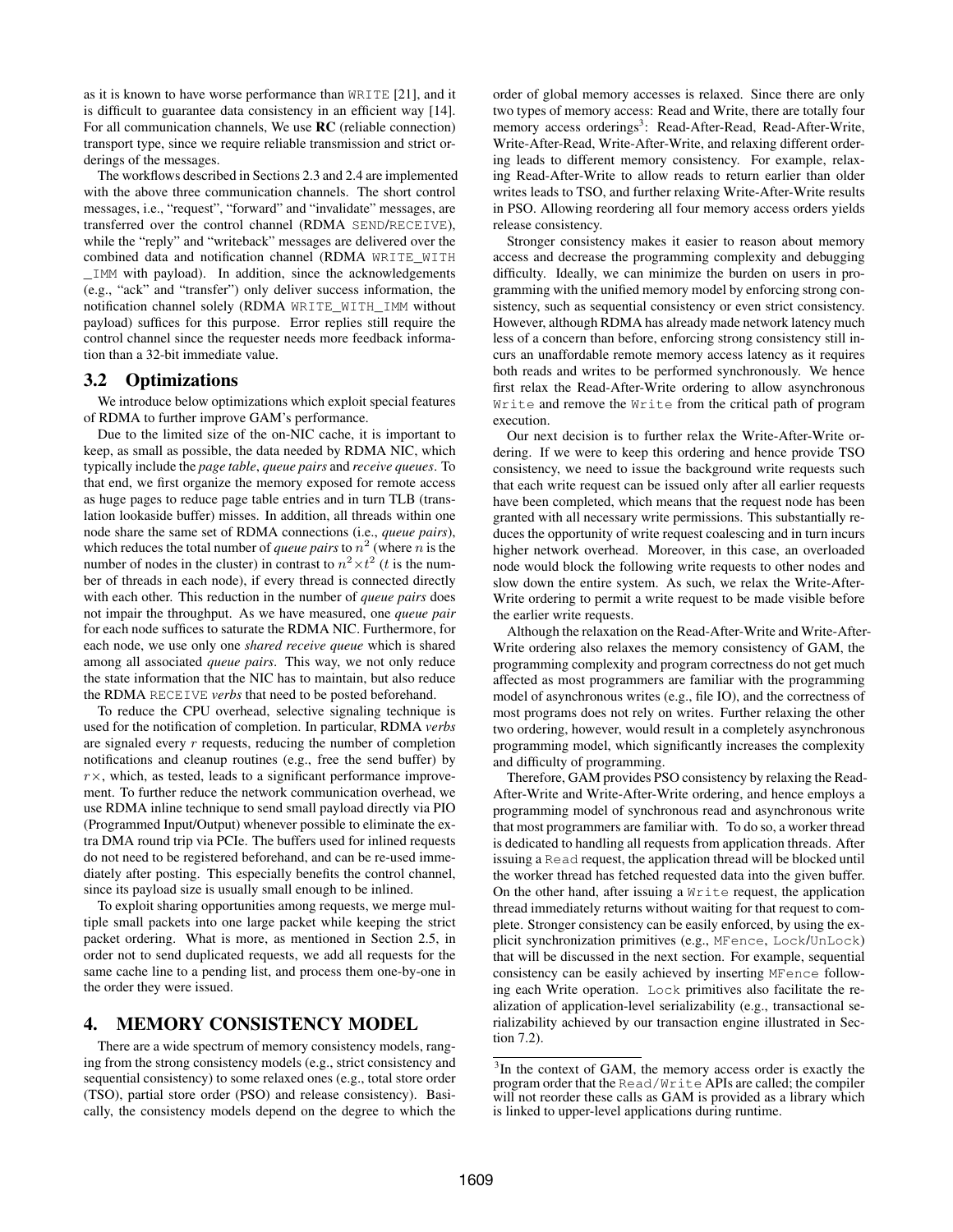as it is known to have worse performance than WRITE [21], and it is difficult to guarantee data consistency in an efficient way [14]. For all communication channels, We use RC (reliable connection) transport type, since we require reliable transmission and strict orderings of the messages.

The workflows described in Sections 2.3 and 2.4 are implemented with the above three communication channels. The short control messages, i.e., "request", "forward" and "invalidate" messages, are transferred over the control channel (RDMA SEND/RECEIVE), while the "reply" and "writeback" messages are delivered over the combined data and notification channel (RDMA WRITE\_WITH \_IMM with payload). In addition, since the acknowledgements (e.g., "ack" and "transfer") only deliver success information, the notification channel solely (RDMA WRITE\_WITH\_IMM without payload) suffices for this purpose. Error replies still require the control channel since the requester needs more feedback information than a 32-bit immediate value.

#### 3.2 Optimizations

We introduce below optimizations which exploit special features of RDMA to further improve GAM's performance.

Due to the limited size of the on-NIC cache, it is important to keep, as small as possible, the data needed by RDMA NIC, which typically include the *page table*, *queue pairs* and *receive queues*. To that end, we first organize the memory exposed for remote access as huge pages to reduce page table entries and in turn TLB (translation lookaside buffer) misses. In addition, all threads within one node share the same set of RDMA connections (i.e., *queue pairs*), which reduces the total number of *queue pairs* to  $n^2$  (where n is the number of nodes in the cluster) in contrast to  $n^2 \times t^2$  (*t* is the number of threads in each node), if every thread is connected directly with each other. This reduction in the number of *queue pairs* does not impair the throughput. As we have measured, one *queue pair* for each node suffices to saturate the RDMA NIC. Furthermore, for each node, we use only one *shared receive queue* which is shared among all associated *queue pairs*. This way, we not only reduce the state information that the NIC has to maintain, but also reduce the RDMA RECEIVE *verbs* that need to be posted beforehand.

To reduce the CPU overhead, selective signaling technique is used for the notification of completion. In particular, RDMA *verbs* are signaled every r requests, reducing the number of completion notifications and cleanup routines (e.g., free the send buffer) by  $r \times$ , which, as tested, leads to a significant performance improvement. To further reduce the network communication overhead, we use RDMA inline technique to send small payload directly via PIO (Programmed Input/Output) whenever possible to eliminate the extra DMA round trip via PCIe. The buffers used for inlined requests do not need to be registered beforehand, and can be re-used immediately after posting. This especially benefits the control channel, since its payload size is usually small enough to be inlined.

To exploit sharing opportunities among requests, we merge multiple small packets into one large packet while keeping the strict packet ordering. What is more, as mentioned in Section 2.5, in order not to send duplicated requests, we add all requests for the same cache line to a pending list, and process them one-by-one in the order they were issued.

## 4. MEMORY CONSISTENCY MODEL

There are a wide spectrum of memory consistency models, ranging from the strong consistency models (e.g., strict consistency and sequential consistency) to some relaxed ones (e.g., total store order (TSO), partial store order (PSO) and release consistency). Basically, the consistency models depend on the degree to which the order of global memory accesses is relaxed. Since there are only two types of memory access: Read and Write, there are totally four memory access orderings<sup>3</sup>: Read-After-Read, Read-After-Write, Write-After-Read, Write-After-Write, and relaxing different ordering leads to different memory consistency. For example, relaxing Read-After-Write to allow reads to return earlier than older writes leads to TSO, and further relaxing Write-After-Write results in PSO. Allowing reordering all four memory access orders yields release consistency.

Stronger consistency makes it easier to reason about memory access and decrease the programming complexity and debugging difficulty. Ideally, we can minimize the burden on users in programming with the unified memory model by enforcing strong consistency, such as sequential consistency or even strict consistency. However, although RDMA has already made network latency much less of a concern than before, enforcing strong consistency still incurs an unaffordable remote memory access latency as it requires both reads and writes to be performed synchronously. We hence first relax the Read-After-Write ordering to allow asynchronous Write and remove the Write from the critical path of program execution.

Our next decision is to further relax the Write-After-Write ordering. If we were to keep this ordering and hence provide TSO consistency, we need to issue the background write requests such that each write request can be issued only after all earlier requests have been completed, which means that the request node has been granted with all necessary write permissions. This substantially reduces the opportunity of write request coalescing and in turn incurs higher network overhead. Moreover, in this case, an overloaded node would block the following write requests to other nodes and slow down the entire system. As such, we relax the Write-After-Write ordering to permit a write request to be made visible before the earlier write requests.

Although the relaxation on the Read-After-Write and Write-After-Write ordering also relaxes the memory consistency of GAM, the programming complexity and program correctness do not get much affected as most programmers are familiar with the programming model of asynchronous writes (e.g., file IO), and the correctness of most programs does not rely on writes. Further relaxing the other two ordering, however, would result in a completely asynchronous programming model, which significantly increases the complexity and difficulty of programming.

Therefore, GAM provides PSO consistency by relaxing the Read-After-Write and Write-After-Write ordering, and hence employs a programming model of synchronous read and asynchronous write that most programmers are familiar with. To do so, a worker thread is dedicated to handling all requests from application threads. After issuing a Read request, the application thread will be blocked until the worker thread has fetched requested data into the given buffer. On the other hand, after issuing a Write request, the application thread immediately returns without waiting for that request to complete. Stronger consistency can be easily enforced, by using the explicit synchronization primitives (e.g., MFence, Lock/UnLock) that will be discussed in the next section. For example, sequential consistency can be easily achieved by inserting MFence following each Write operation. Lock primitives also facilitate the realization of application-level serializability (e.g., transactional serializability achieved by our transaction engine illustrated in Section 7.2).

<sup>&</sup>lt;sup>3</sup>In the context of GAM, the memory access order is exactly the program order that the Read/Write APIs are called; the compiler will not reorder these calls as GAM is provided as a library which is linked to upper-level applications during runtime.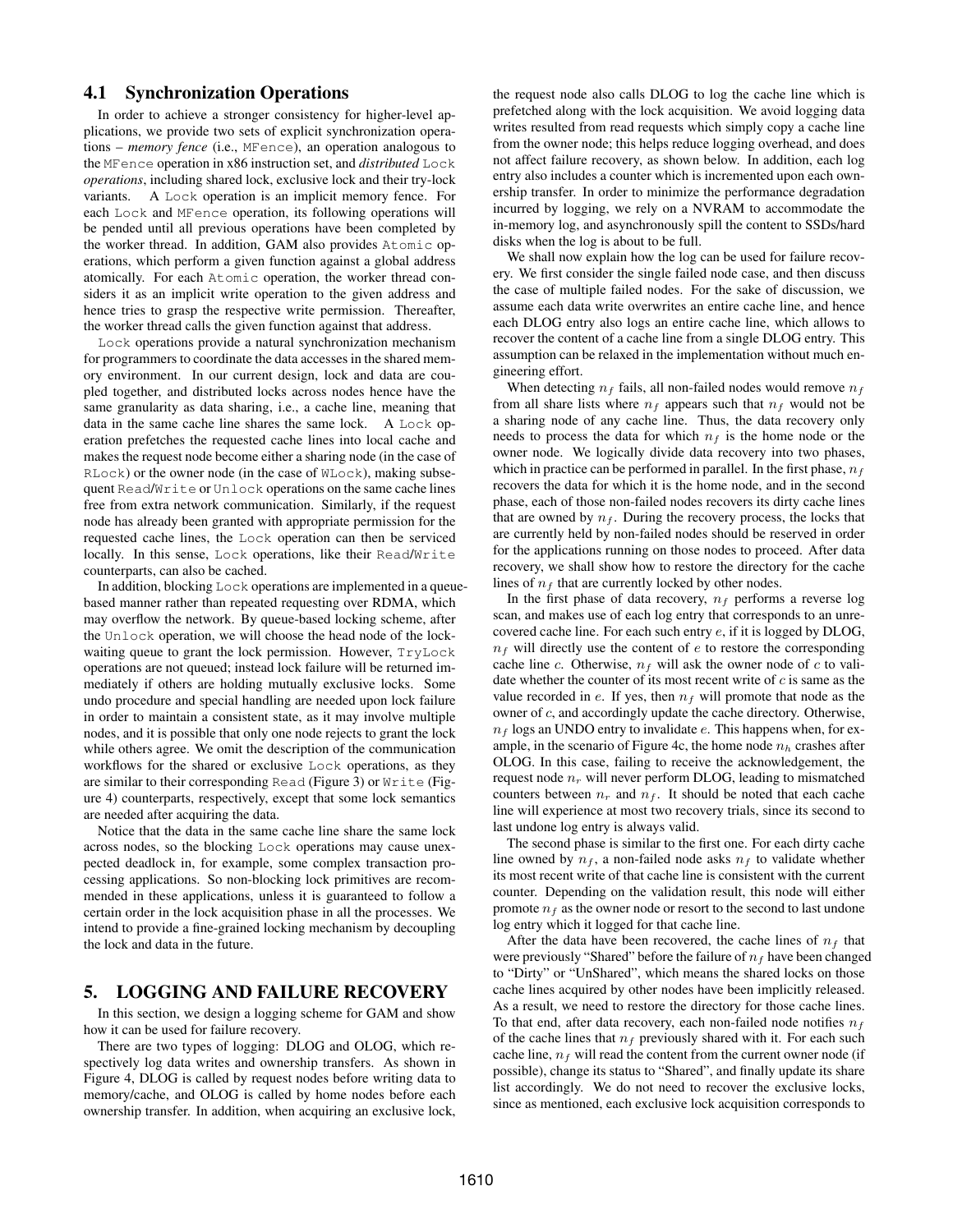# 4.1 Synchronization Operations

In order to achieve a stronger consistency for higher-level applications, we provide two sets of explicit synchronization operations – *memory fence* (i.e., MFence), an operation analogous to the MFence operation in x86 instruction set, and *distributed* Lock *operations*, including shared lock, exclusive lock and their try-lock variants. A Lock operation is an implicit memory fence. For each Lock and MFence operation, its following operations will be pended until all previous operations have been completed by the worker thread. In addition, GAM also provides Atomic operations, which perform a given function against a global address atomically. For each Atomic operation, the worker thread considers it as an implicit write operation to the given address and hence tries to grasp the respective write permission. Thereafter, the worker thread calls the given function against that address.

Lock operations provide a natural synchronization mechanism for programmers to coordinate the data accesses in the shared memory environment. In our current design, lock and data are coupled together, and distributed locks across nodes hence have the same granularity as data sharing, i.e., a cache line, meaning that data in the same cache line shares the same lock. A Lock operation prefetches the requested cache lines into local cache and makes the request node become either a sharing node (in the case of RLock) or the owner node (in the case of WLock), making subsequent Read/Write or Unlock operations on the same cache lines free from extra network communication. Similarly, if the request node has already been granted with appropriate permission for the requested cache lines, the Lock operation can then be serviced locally. In this sense, Lock operations, like their Read/Write counterparts, can also be cached.

In addition, blocking Lock operations are implemented in a queuebased manner rather than repeated requesting over RDMA, which may overflow the network. By queue-based locking scheme, after the Unlock operation, we will choose the head node of the lockwaiting queue to grant the lock permission. However, TryLock operations are not queued; instead lock failure will be returned immediately if others are holding mutually exclusive locks. Some undo procedure and special handling are needed upon lock failure in order to maintain a consistent state, as it may involve multiple nodes, and it is possible that only one node rejects to grant the lock while others agree. We omit the description of the communication workflows for the shared or exclusive Lock operations, as they are similar to their corresponding Read (Figure 3) or Write (Figure 4) counterparts, respectively, except that some lock semantics are needed after acquiring the data.

Notice that the data in the same cache line share the same lock across nodes, so the blocking Lock operations may cause unexpected deadlock in, for example, some complex transaction processing applications. So non-blocking lock primitives are recommended in these applications, unless it is guaranteed to follow a certain order in the lock acquisition phase in all the processes. We intend to provide a fine-grained locking mechanism by decoupling the lock and data in the future.

# 5. LOGGING AND FAILURE RECOVERY

In this section, we design a logging scheme for GAM and show how it can be used for failure recovery.

There are two types of logging: DLOG and OLOG, which respectively log data writes and ownership transfers. As shown in Figure 4, DLOG is called by request nodes before writing data to memory/cache, and OLOG is called by home nodes before each ownership transfer. In addition, when acquiring an exclusive lock,

the request node also calls DLOG to log the cache line which is prefetched along with the lock acquisition. We avoid logging data writes resulted from read requests which simply copy a cache line from the owner node; this helps reduce logging overhead, and does not affect failure recovery, as shown below. In addition, each log entry also includes a counter which is incremented upon each ownership transfer. In order to minimize the performance degradation incurred by logging, we rely on a NVRAM to accommodate the in-memory log, and asynchronously spill the content to SSDs/hard disks when the log is about to be full.

We shall now explain how the log can be used for failure recovery. We first consider the single failed node case, and then discuss the case of multiple failed nodes. For the sake of discussion, we assume each data write overwrites an entire cache line, and hence each DLOG entry also logs an entire cache line, which allows to recover the content of a cache line from a single DLOG entry. This assumption can be relaxed in the implementation without much engineering effort.

When detecting  $n_f$  fails, all non-failed nodes would remove  $n_f$ from all share lists where  $n_f$  appears such that  $n_f$  would not be a sharing node of any cache line. Thus, the data recovery only needs to process the data for which  $n_f$  is the home node or the owner node. We logically divide data recovery into two phases, which in practice can be performed in parallel. In the first phase,  $n_f$ recovers the data for which it is the home node, and in the second phase, each of those non-failed nodes recovers its dirty cache lines that are owned by  $n_f$ . During the recovery process, the locks that are currently held by non-failed nodes should be reserved in order for the applications running on those nodes to proceed. After data recovery, we shall show how to restore the directory for the cache lines of  $n_f$  that are currently locked by other nodes.

In the first phase of data recovery,  $n_f$  performs a reverse log scan, and makes use of each log entry that corresponds to an unrecovered cache line. For each such entry e, if it is logged by DLOG,  $n_f$  will directly use the content of e to restore the corresponding cache line c. Otherwise,  $n_f$  will ask the owner node of c to validate whether the counter of its most recent write of  $c$  is same as the value recorded in e. If yes, then  $n_f$  will promote that node as the owner of c, and accordingly update the cache directory. Otherwise,  $n_f$  logs an UNDO entry to invalidate e. This happens when, for example, in the scenario of Figure 4c, the home node  $n_h$  crashes after OLOG. In this case, failing to receive the acknowledgement, the request node  $n_r$  will never perform DLOG, leading to mismatched counters between  $n_r$  and  $n_f$ . It should be noted that each cache line will experience at most two recovery trials, since its second to last undone log entry is always valid.

The second phase is similar to the first one. For each dirty cache line owned by  $n_f$ , a non-failed node asks  $n_f$  to validate whether its most recent write of that cache line is consistent with the current counter. Depending on the validation result, this node will either promote  $n_f$  as the owner node or resort to the second to last undone log entry which it logged for that cache line.

After the data have been recovered, the cache lines of  $n_f$  that were previously "Shared" before the failure of  $n_f$  have been changed to "Dirty" or "UnShared", which means the shared locks on those cache lines acquired by other nodes have been implicitly released. As a result, we need to restore the directory for those cache lines. To that end, after data recovery, each non-failed node notifies  $n_f$ of the cache lines that  $n_f$  previously shared with it. For each such cache line,  $n_f$  will read the content from the current owner node (if possible), change its status to "Shared", and finally update its share list accordingly. We do not need to recover the exclusive locks, since as mentioned, each exclusive lock acquisition corresponds to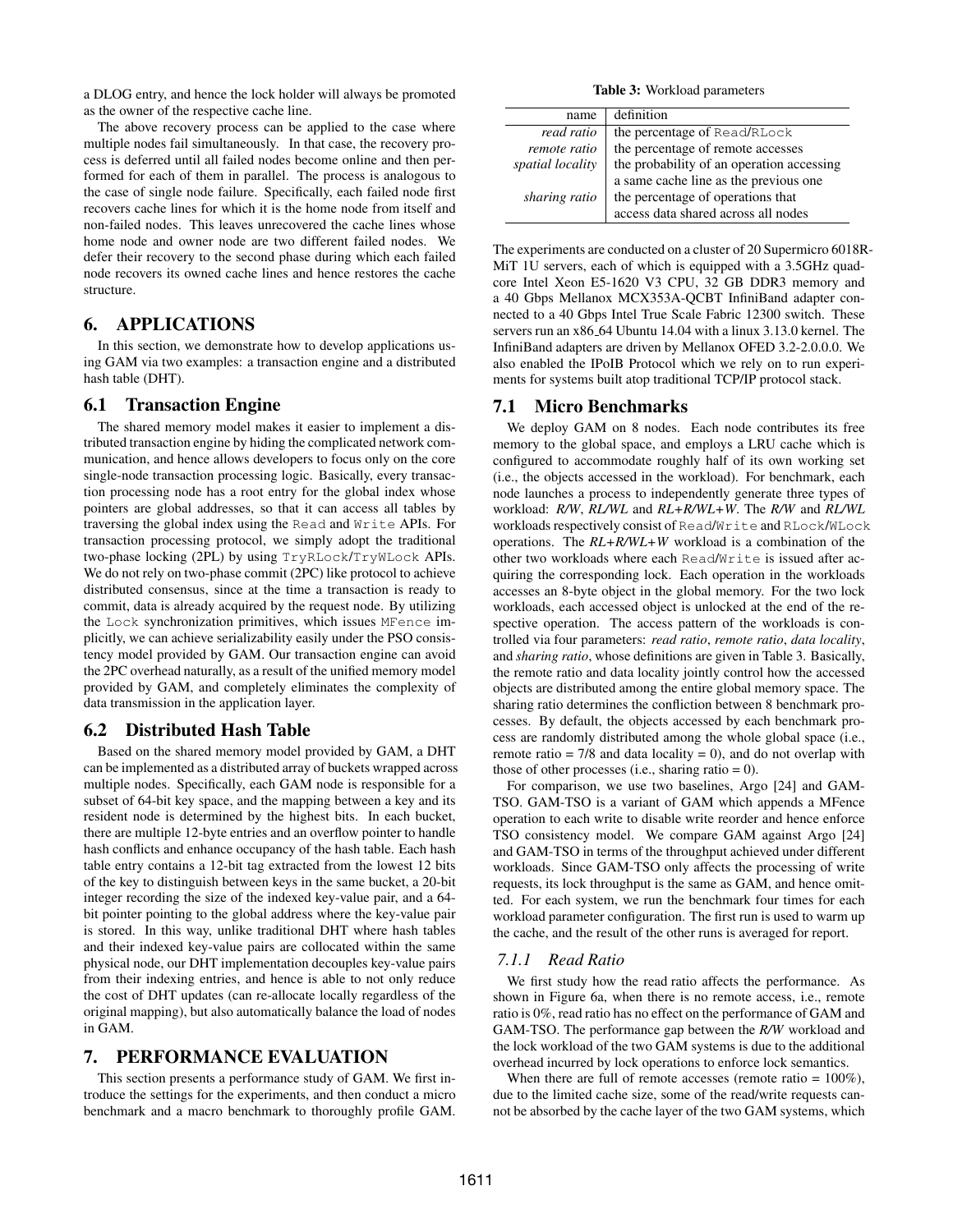a DLOG entry, and hence the lock holder will always be promoted as the owner of the respective cache line.

The above recovery process can be applied to the case where multiple nodes fail simultaneously. In that case, the recovery process is deferred until all failed nodes become online and then performed for each of them in parallel. The process is analogous to the case of single node failure. Specifically, each failed node first recovers cache lines for which it is the home node from itself and non-failed nodes. This leaves unrecovered the cache lines whose home node and owner node are two different failed nodes. We defer their recovery to the second phase during which each failed node recovers its owned cache lines and hence restores the cache structure.

# 6. APPLICATIONS

In this section, we demonstrate how to develop applications using GAM via two examples: a transaction engine and a distributed hash table (DHT).

#### 6.1 Transaction Engine

The shared memory model makes it easier to implement a distributed transaction engine by hiding the complicated network communication, and hence allows developers to focus only on the core single-node transaction processing logic. Basically, every transaction processing node has a root entry for the global index whose pointers are global addresses, so that it can access all tables by traversing the global index using the Read and Write APIs. For transaction processing protocol, we simply adopt the traditional two-phase locking (2PL) by using TryRLock/TryWLock APIs. We do not rely on two-phase commit (2PC) like protocol to achieve distributed consensus, since at the time a transaction is ready to commit, data is already acquired by the request node. By utilizing the Lock synchronization primitives, which issues MFence implicitly, we can achieve serializability easily under the PSO consistency model provided by GAM. Our transaction engine can avoid the 2PC overhead naturally, as a result of the unified memory model provided by GAM, and completely eliminates the complexity of data transmission in the application layer.

#### 6.2 Distributed Hash Table

Based on the shared memory model provided by GAM, a DHT can be implemented as a distributed array of buckets wrapped across multiple nodes. Specifically, each GAM node is responsible for a subset of 64-bit key space, and the mapping between a key and its resident node is determined by the highest bits. In each bucket, there are multiple 12-byte entries and an overflow pointer to handle hash conflicts and enhance occupancy of the hash table. Each hash table entry contains a 12-bit tag extracted from the lowest 12 bits of the key to distinguish between keys in the same bucket, a 20-bit integer recording the size of the indexed key-value pair, and a 64 bit pointer pointing to the global address where the key-value pair is stored. In this way, unlike traditional DHT where hash tables and their indexed key-value pairs are collocated within the same physical node, our DHT implementation decouples key-value pairs from their indexing entries, and hence is able to not only reduce the cost of DHT updates (can re-allocate locally regardless of the original mapping), but also automatically balance the load of nodes in GAM.

## 7. PERFORMANCE EVALUATION

This section presents a performance study of GAM. We first introduce the settings for the experiments, and then conduct a micro benchmark and a macro benchmark to thoroughly profile GAM.

Table 3: Workload parameters

| name             | definition                                |  |
|------------------|-------------------------------------------|--|
| read ratio       | the percentage of Read/RLock              |  |
| remote ratio     | the percentage of remote accesses         |  |
| spatial locality | the probability of an operation accessing |  |
|                  | a same cache line as the previous one     |  |
| sharing ratio    | the percentage of operations that         |  |
|                  | access data shared across all nodes       |  |

The experiments are conducted on a cluster of 20 Supermicro 6018R-MiT 1U servers, each of which is equipped with a 3.5GHz quadcore Intel Xeon E5-1620 V3 CPU, 32 GB DDR3 memory and a 40 Gbps Mellanox MCX353A-QCBT InfiniBand adapter connected to a 40 Gbps Intel True Scale Fabric 12300 switch. These servers run an x86<sub>-64</sub> Ubuntu 14.04 with a linux 3.13.0 kernel. The InfiniBand adapters are driven by Mellanox OFED 3.2-2.0.0.0. We also enabled the IPoIB Protocol which we rely on to run experiments for systems built atop traditional TCP/IP protocol stack.

#### 7.1 Micro Benchmarks

We deploy GAM on 8 nodes. Each node contributes its free memory to the global space, and employs a LRU cache which is configured to accommodate roughly half of its own working set (i.e., the objects accessed in the workload). For benchmark, each node launches a process to independently generate three types of workload: *R/W*, *RL/WL* and *RL+R/WL+W*. The *R/W* and *RL/WL* workloads respectively consist of Read/Write and RLock/WLock operations. The *RL+R/WL+W* workload is a combination of the other two workloads where each Read/Write is issued after acquiring the corresponding lock. Each operation in the workloads accesses an 8-byte object in the global memory. For the two lock workloads, each accessed object is unlocked at the end of the respective operation. The access pattern of the workloads is controlled via four parameters: *read ratio*, *remote ratio*, *data locality*, and *sharing ratio*, whose definitions are given in Table 3. Basically, the remote ratio and data locality jointly control how the accessed objects are distributed among the entire global memory space. The sharing ratio determines the confliction between 8 benchmark processes. By default, the objects accessed by each benchmark process are randomly distributed among the whole global space (i.e., remote ratio =  $7/8$  and data locality = 0), and do not overlap with those of other processes (i.e., sharing ratio  $= 0$ ).

For comparison, we use two baselines, Argo [24] and GAM-TSO. GAM-TSO is a variant of GAM which appends a MFence operation to each write to disable write reorder and hence enforce TSO consistency model. We compare GAM against Argo [24] and GAM-TSO in terms of the throughput achieved under different workloads. Since GAM-TSO only affects the processing of write requests, its lock throughput is the same as GAM, and hence omitted. For each system, we run the benchmark four times for each workload parameter configuration. The first run is used to warm up the cache, and the result of the other runs is averaged for report.

## *7.1.1 Read Ratio*

We first study how the read ratio affects the performance. As shown in Figure 6a, when there is no remote access, i.e., remote ratio is 0%, read ratio has no effect on the performance of GAM and GAM-TSO. The performance gap between the *R/W* workload and the lock workload of the two GAM systems is due to the additional overhead incurred by lock operations to enforce lock semantics.

When there are full of remote accesses (remote ratio  $= 100\%$ ), due to the limited cache size, some of the read/write requests cannot be absorbed by the cache layer of the two GAM systems, which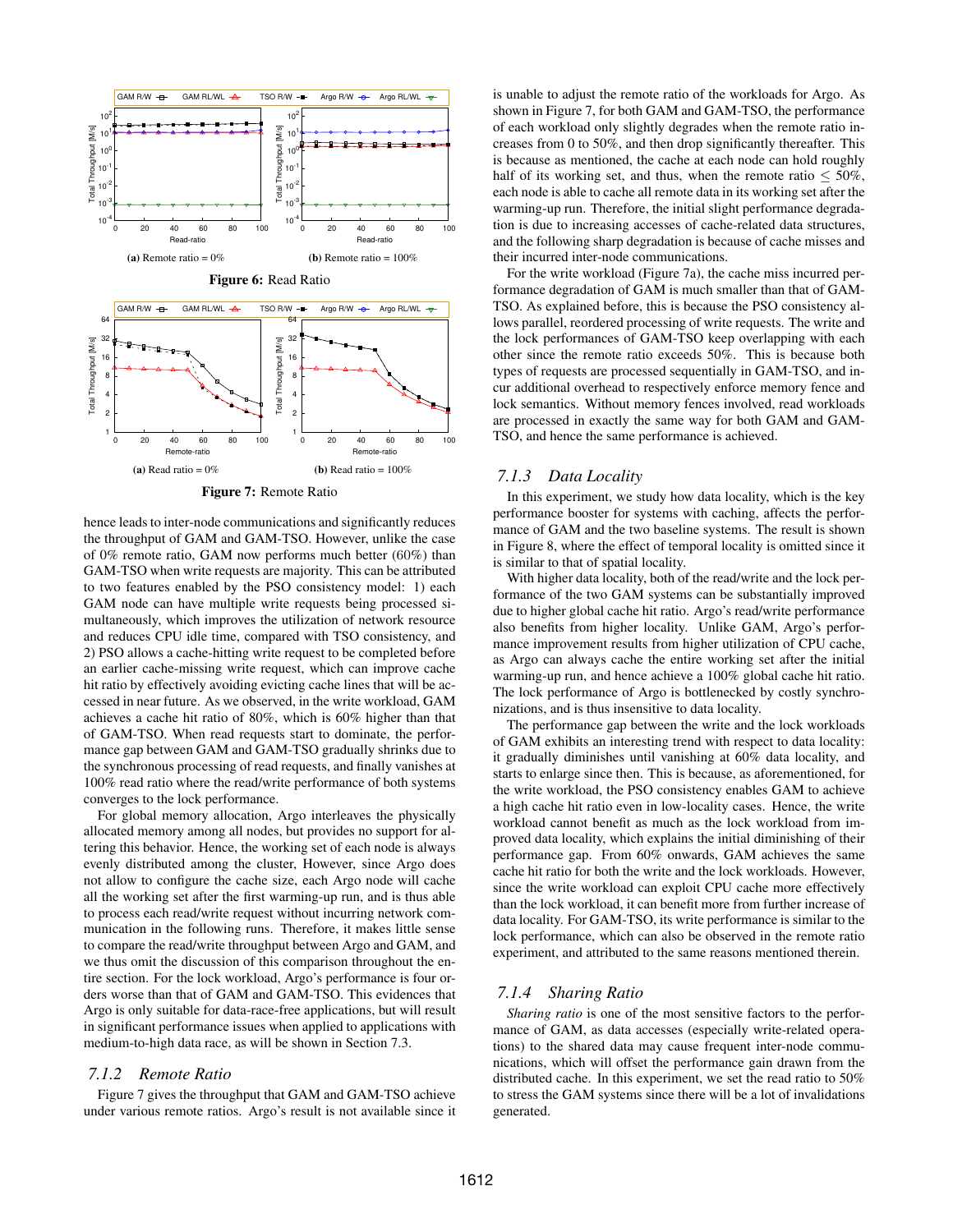

Figure 7: Remote Ratio

hence leads to inter-node communications and significantly reduces the throughput of GAM and GAM-TSO. However, unlike the case of 0% remote ratio, GAM now performs much better (60%) than GAM-TSO when write requests are majority. This can be attributed to two features enabled by the PSO consistency model: 1) each GAM node can have multiple write requests being processed simultaneously, which improves the utilization of network resource and reduces CPU idle time, compared with TSO consistency, and 2) PSO allows a cache-hitting write request to be completed before an earlier cache-missing write request, which can improve cache hit ratio by effectively avoiding evicting cache lines that will be accessed in near future. As we observed, in the write workload, GAM achieves a cache hit ratio of 80%, which is 60% higher than that of GAM-TSO. When read requests start to dominate, the performance gap between GAM and GAM-TSO gradually shrinks due to the synchronous processing of read requests, and finally vanishes at 100% read ratio where the read/write performance of both systems converges to the lock performance.

For global memory allocation, Argo interleaves the physically allocated memory among all nodes, but provides no support for altering this behavior. Hence, the working set of each node is always evenly distributed among the cluster, However, since Argo does not allow to configure the cache size, each Argo node will cache all the working set after the first warming-up run, and is thus able to process each read/write request without incurring network communication in the following runs. Therefore, it makes little sense to compare the read/write throughput between Argo and GAM, and we thus omit the discussion of this comparison throughout the entire section. For the lock workload, Argo's performance is four orders worse than that of GAM and GAM-TSO. This evidences that Argo is only suitable for data-race-free applications, but will result in significant performance issues when applied to applications with medium-to-high data race, as will be shown in Section 7.3.

#### *7.1.2 Remote Ratio*

Figure 7 gives the throughput that GAM and GAM-TSO achieve under various remote ratios. Argo's result is not available since it is unable to adjust the remote ratio of the workloads for Argo. As shown in Figure 7, for both GAM and GAM-TSO, the performance of each workload only slightly degrades when the remote ratio increases from 0 to 50%, and then drop significantly thereafter. This is because as mentioned, the cache at each node can hold roughly half of its working set, and thus, when the remote ratio  $\leq 50\%$ , each node is able to cache all remote data in its working set after the warming-up run. Therefore, the initial slight performance degradation is due to increasing accesses of cache-related data structures, and the following sharp degradation is because of cache misses and their incurred inter-node communications.

For the write workload (Figure 7a), the cache miss incurred performance degradation of GAM is much smaller than that of GAM-TSO. As explained before, this is because the PSO consistency allows parallel, reordered processing of write requests. The write and the lock performances of GAM-TSO keep overlapping with each other since the remote ratio exceeds 50%. This is because both types of requests are processed sequentially in GAM-TSO, and incur additional overhead to respectively enforce memory fence and lock semantics. Without memory fences involved, read workloads are processed in exactly the same way for both GAM and GAM-TSO, and hence the same performance is achieved.

#### *7.1.3 Data Locality*

In this experiment, we study how data locality, which is the key performance booster for systems with caching, affects the performance of GAM and the two baseline systems. The result is shown in Figure 8, where the effect of temporal locality is omitted since it is similar to that of spatial locality.

With higher data locality, both of the read/write and the lock performance of the two GAM systems can be substantially improved due to higher global cache hit ratio. Argo's read/write performance also benefits from higher locality. Unlike GAM, Argo's performance improvement results from higher utilization of CPU cache, as Argo can always cache the entire working set after the initial warming-up run, and hence achieve a 100% global cache hit ratio. The lock performance of Argo is bottlenecked by costly synchronizations, and is thus insensitive to data locality.

The performance gap between the write and the lock workloads of GAM exhibits an interesting trend with respect to data locality: it gradually diminishes until vanishing at 60% data locality, and starts to enlarge since then. This is because, as aforementioned, for the write workload, the PSO consistency enables GAM to achieve a high cache hit ratio even in low-locality cases. Hence, the write workload cannot benefit as much as the lock workload from improved data locality, which explains the initial diminishing of their performance gap. From 60% onwards, GAM achieves the same cache hit ratio for both the write and the lock workloads. However, since the write workload can exploit CPU cache more effectively than the lock workload, it can benefit more from further increase of data locality. For GAM-TSO, its write performance is similar to the lock performance, which can also be observed in the remote ratio experiment, and attributed to the same reasons mentioned therein.

#### *7.1.4 Sharing Ratio*

*Sharing ratio* is one of the most sensitive factors to the performance of GAM, as data accesses (especially write-related operations) to the shared data may cause frequent inter-node communications, which will offset the performance gain drawn from the distributed cache. In this experiment, we set the read ratio to 50% to stress the GAM systems since there will be a lot of invalidations generated.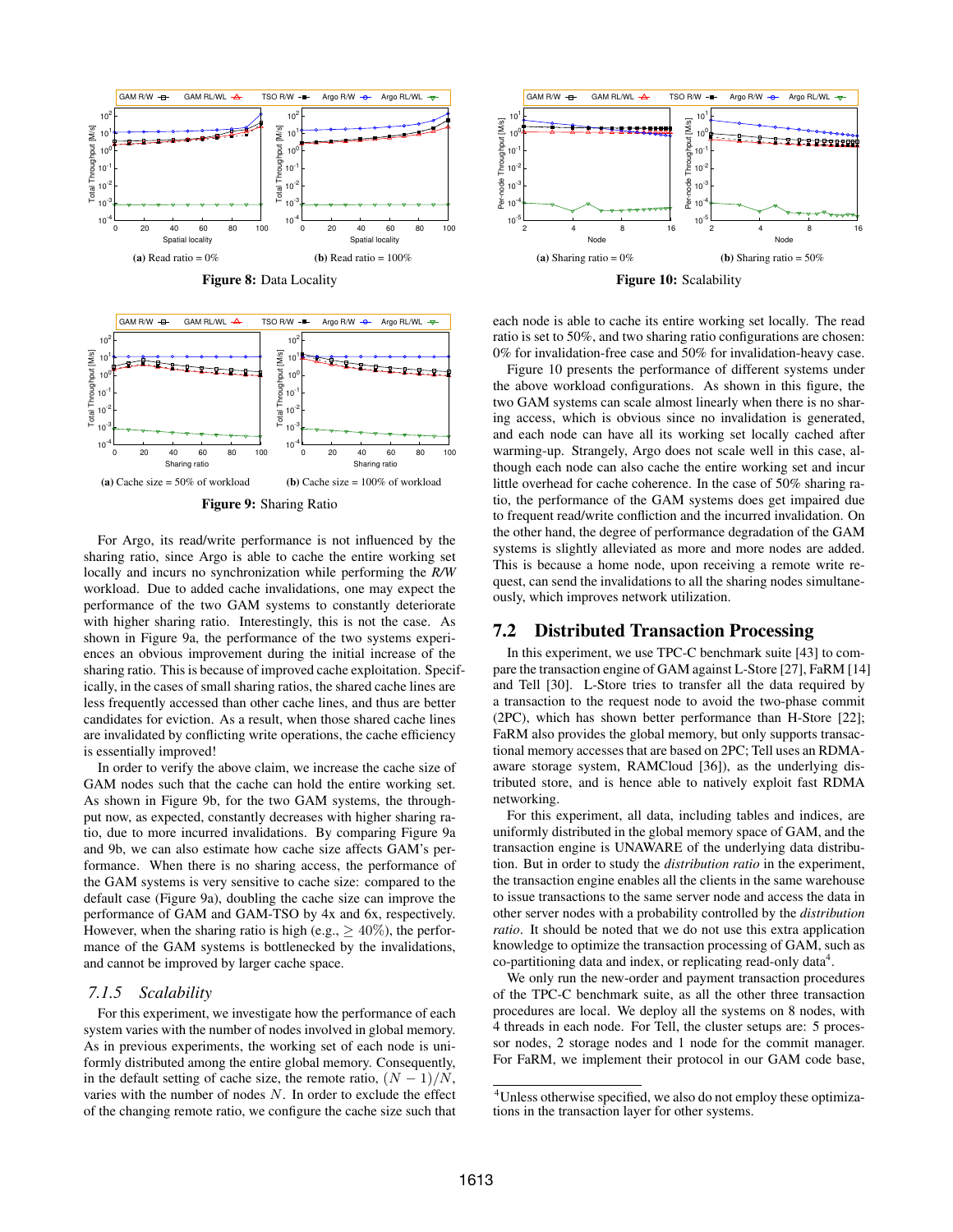

Figure 8: Data Locality



Figure 9: Sharing Ratio

For Argo, its read/write performance is not influenced by the sharing ratio, since Argo is able to cache the entire working set locally and incurs no synchronization while performing the *R/W* workload. Due to added cache invalidations, one may expect the performance of the two GAM systems to constantly deteriorate with higher sharing ratio. Interestingly, this is not the case. As shown in Figure 9a, the performance of the two systems experiences an obvious improvement during the initial increase of the sharing ratio. This is because of improved cache exploitation. Specifically, in the cases of small sharing ratios, the shared cache lines are less frequently accessed than other cache lines, and thus are better candidates for eviction. As a result, when those shared cache lines are invalidated by conflicting write operations, the cache efficiency is essentially improved!

In order to verify the above claim, we increase the cache size of GAM nodes such that the cache can hold the entire working set. As shown in Figure 9b, for the two GAM systems, the throughput now, as expected, constantly decreases with higher sharing ratio, due to more incurred invalidations. By comparing Figure 9a and 9b, we can also estimate how cache size affects GAM's performance. When there is no sharing access, the performance of the GAM systems is very sensitive to cache size: compared to the default case (Figure 9a), doubling the cache size can improve the performance of GAM and GAM-TSO by 4x and 6x, respectively. However, when the sharing ratio is high (e.g.,  $\geq 40\%$ ), the performance of the GAM systems is bottlenecked by the invalidations, and cannot be improved by larger cache space.

#### *7.1.5 Scalability*

For this experiment, we investigate how the performance of each system varies with the number of nodes involved in global memory. As in previous experiments, the working set of each node is uniformly distributed among the entire global memory. Consequently, in the default setting of cache size, the remote ratio,  $(N - 1)/N$ , varies with the number of nodes  $N$ . In order to exclude the effect of the changing remote ratio, we configure the cache size such that



Figure 10: Scalability

each node is able to cache its entire working set locally. The read ratio is set to 50%, and two sharing ratio configurations are chosen: 0% for invalidation-free case and 50% for invalidation-heavy case.

Figure 10 presents the performance of different systems under the above workload configurations. As shown in this figure, the two GAM systems can scale almost linearly when there is no sharing access, which is obvious since no invalidation is generated, and each node can have all its working set locally cached after warming-up. Strangely, Argo does not scale well in this case, although each node can also cache the entire working set and incur little overhead for cache coherence. In the case of 50% sharing ratio, the performance of the GAM systems does get impaired due to frequent read/write confliction and the incurred invalidation. On the other hand, the degree of performance degradation of the GAM systems is slightly alleviated as more and more nodes are added. This is because a home node, upon receiving a remote write request, can send the invalidations to all the sharing nodes simultaneously, which improves network utilization.

## 7.2 Distributed Transaction Processing

In this experiment, we use TPC-C benchmark suite [43] to compare the transaction engine of GAM against L-Store [27], FaRM [14] and Tell [30]. L-Store tries to transfer all the data required by a transaction to the request node to avoid the two-phase commit (2PC), which has shown better performance than H-Store [22]; FaRM also provides the global memory, but only supports transactional memory accesses that are based on 2PC; Tell uses an RDMAaware storage system, RAMCloud [36]), as the underlying distributed store, and is hence able to natively exploit fast RDMA networking.

For this experiment, all data, including tables and indices, are uniformly distributed in the global memory space of GAM, and the transaction engine is UNAWARE of the underlying data distribution. But in order to study the *distribution ratio* in the experiment, the transaction engine enables all the clients in the same warehouse to issue transactions to the same server node and access the data in other server nodes with a probability controlled by the *distribution ratio*. It should be noted that we do not use this extra application knowledge to optimize the transaction processing of GAM, such as co-partitioning data and index, or replicating read-only data $4$ .

We only run the new-order and payment transaction procedures of the TPC-C benchmark suite, as all the other three transaction procedures are local. We deploy all the systems on 8 nodes, with 4 threads in each node. For Tell, the cluster setups are: 5 processor nodes, 2 storage nodes and 1 node for the commit manager. For FaRM, we implement their protocol in our GAM code base,

<sup>4</sup>Unless otherwise specified, we also do not employ these optimizations in the transaction layer for other systems.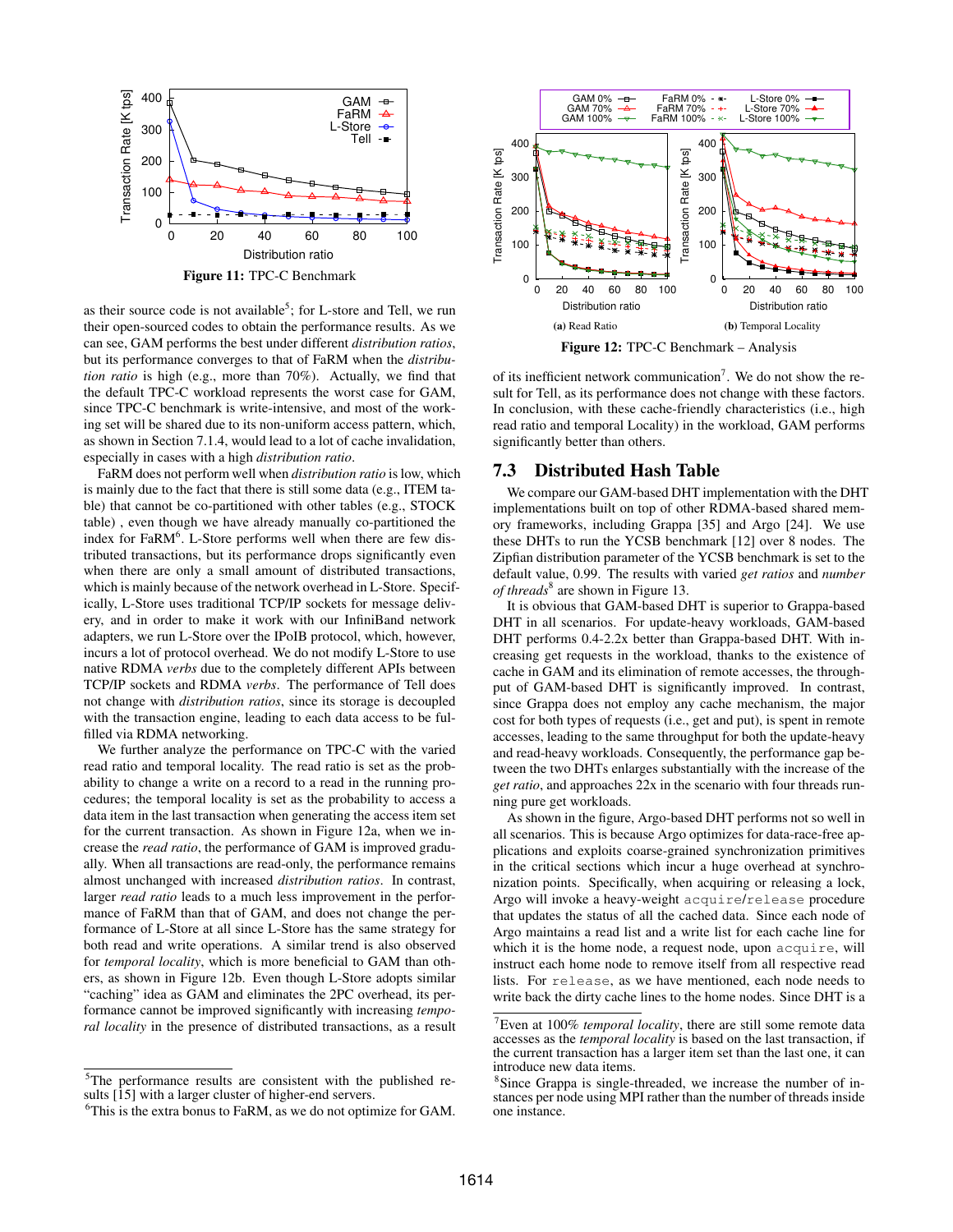

as their source code is not available<sup>5</sup>; for L-store and Tell, we run their open-sourced codes to obtain the performance results. As we can see, GAM performs the best under different *distribution ratios*, but its performance converges to that of FaRM when the *distribution ratio* is high (e.g., more than 70%). Actually, we find that the default TPC-C workload represents the worst case for GAM, since TPC-C benchmark is write-intensive, and most of the working set will be shared due to its non-uniform access pattern, which, as shown in Section 7.1.4, would lead to a lot of cache invalidation, especially in cases with a high *distribution ratio*.

FaRM does not perform well when *distribution ratio* is low, which is mainly due to the fact that there is still some data (e.g., ITEM table) that cannot be co-partitioned with other tables (e.g., STOCK table) , even though we have already manually co-partitioned the index for FaRM<sup>6</sup>. L-Store performs well when there are few distributed transactions, but its performance drops significantly even when there are only a small amount of distributed transactions, which is mainly because of the network overhead in L-Store. Specifically, L-Store uses traditional TCP/IP sockets for message delivery, and in order to make it work with our InfiniBand network adapters, we run L-Store over the IPoIB protocol, which, however, incurs a lot of protocol overhead. We do not modify L-Store to use native RDMA *verbs* due to the completely different APIs between TCP/IP sockets and RDMA *verbs*. The performance of Tell does not change with *distribution ratios*, since its storage is decoupled with the transaction engine, leading to each data access to be fulfilled via RDMA networking.

We further analyze the performance on TPC-C with the varied read ratio and temporal locality. The read ratio is set as the probability to change a write on a record to a read in the running procedures; the temporal locality is set as the probability to access a data item in the last transaction when generating the access item set for the current transaction. As shown in Figure 12a, when we increase the *read ratio*, the performance of GAM is improved gradually. When all transactions are read-only, the performance remains almost unchanged with increased *distribution ratios*. In contrast, larger *read ratio* leads to a much less improvement in the performance of FaRM than that of GAM, and does not change the performance of L-Store at all since L-Store has the same strategy for both read and write operations. A similar trend is also observed for *temporal locality*, which is more beneficial to GAM than others, as shown in Figure 12b. Even though L-Store adopts similar "caching" idea as GAM and eliminates the 2PC overhead, its performance cannot be improved significantly with increasing *temporal locality* in the presence of distributed transactions, as a result



Figure 12: TPC-C Benchmark – Analysis

of its inefficient network communication<sup>7</sup>. We do not show the result for Tell, as its performance does not change with these factors. In conclusion, with these cache-friendly characteristics (i.e., high read ratio and temporal Locality) in the workload, GAM performs significantly better than others.

## 7.3 Distributed Hash Table

We compare our GAM-based DHT implementation with the DHT implementations built on top of other RDMA-based shared memory frameworks, including Grappa [35] and Argo [24]. We use these DHTs to run the YCSB benchmark [12] over 8 nodes. The Zipfian distribution parameter of the YCSB benchmark is set to the default value, 0.99. The results with varied *get ratios* and *number of threads*<sup>8</sup> are shown in Figure 13.

It is obvious that GAM-based DHT is superior to Grappa-based DHT in all scenarios. For update-heavy workloads, GAM-based DHT performs 0.4-2.2x better than Grappa-based DHT. With increasing get requests in the workload, thanks to the existence of cache in GAM and its elimination of remote accesses, the throughput of GAM-based DHT is significantly improved. In contrast, since Grappa does not employ any cache mechanism, the major cost for both types of requests (i.e., get and put), is spent in remote accesses, leading to the same throughput for both the update-heavy and read-heavy workloads. Consequently, the performance gap between the two DHTs enlarges substantially with the increase of the *get ratio*, and approaches 22x in the scenario with four threads running pure get workloads.

As shown in the figure, Argo-based DHT performs not so well in all scenarios. This is because Argo optimizes for data-race-free applications and exploits coarse-grained synchronization primitives in the critical sections which incur a huge overhead at synchronization points. Specifically, when acquiring or releasing a lock, Argo will invoke a heavy-weight acquire/release procedure that updates the status of all the cached data. Since each node of Argo maintains a read list and a write list for each cache line for which it is the home node, a request node, upon acquire, will instruct each home node to remove itself from all respective read lists. For release, as we have mentioned, each node needs to write back the dirty cache lines to the home nodes. Since DHT is a

<sup>&</sup>lt;sup>5</sup>The performance results are consistent with the published results [15] with a larger cluster of higher-end servers.

 $6$ This is the extra bonus to FaRM, as we do not optimize for GAM.

<sup>7</sup>Even at 100% *temporal locality*, there are still some remote data accesses as the *temporal locality* is based on the last transaction, if the current transaction has a larger item set than the last one, it can introduce new data items.

<sup>&</sup>lt;sup>8</sup>Since Grappa is single-threaded, we increase the number of instances per node using MPI rather than the number of threads inside one instance.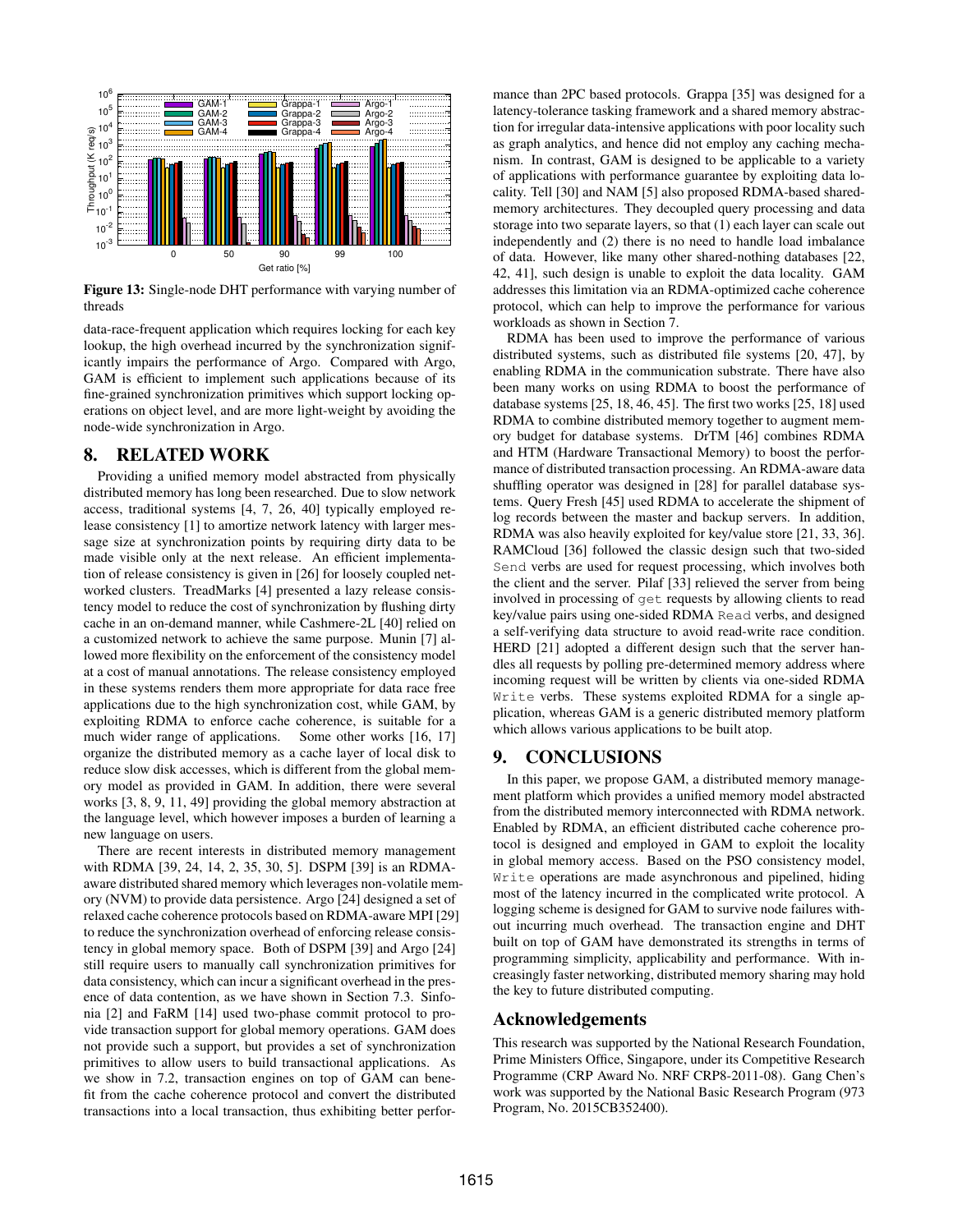

Figure 13: Single-node DHT performance with varying number of threads

data-race-frequent application which requires locking for each key lookup, the high overhead incurred by the synchronization significantly impairs the performance of Argo. Compared with Argo, GAM is efficient to implement such applications because of its fine-grained synchronization primitives which support locking operations on object level, and are more light-weight by avoiding the node-wide synchronization in Argo.

# 8. RELATED WORK

Providing a unified memory model abstracted from physically distributed memory has long been researched. Due to slow network access, traditional systems [4, 7, 26, 40] typically employed release consistency [1] to amortize network latency with larger message size at synchronization points by requiring dirty data to be made visible only at the next release. An efficient implementation of release consistency is given in [26] for loosely coupled networked clusters. TreadMarks [4] presented a lazy release consistency model to reduce the cost of synchronization by flushing dirty cache in an on-demand manner, while Cashmere-2L [40] relied on a customized network to achieve the same purpose. Munin [7] allowed more flexibility on the enforcement of the consistency model at a cost of manual annotations. The release consistency employed in these systems renders them more appropriate for data race free applications due to the high synchronization cost, while GAM, by exploiting RDMA to enforce cache coherence, is suitable for a much wider range of applications. Some other works [16, 17] organize the distributed memory as a cache layer of local disk to reduce slow disk accesses, which is different from the global memory model as provided in GAM. In addition, there were several works [3, 8, 9, 11, 49] providing the global memory abstraction at the language level, which however imposes a burden of learning a new language on users.

There are recent interests in distributed memory management with RDMA [39, 24, 14, 2, 35, 30, 5]. DSPM [39] is an RDMAaware distributed shared memory which leverages non-volatile memory (NVM) to provide data persistence. Argo [24] designed a set of relaxed cache coherence protocols based on RDMA-aware MPI [29] to reduce the synchronization overhead of enforcing release consistency in global memory space. Both of DSPM [39] and Argo [24] still require users to manually call synchronization primitives for data consistency, which can incur a significant overhead in the presence of data contention, as we have shown in Section 7.3. Sinfonia [2] and FaRM [14] used two-phase commit protocol to provide transaction support for global memory operations. GAM does not provide such a support, but provides a set of synchronization primitives to allow users to build transactional applications. As we show in 7.2, transaction engines on top of GAM can benefit from the cache coherence protocol and convert the distributed transactions into a local transaction, thus exhibiting better performance than 2PC based protocols. Grappa [35] was designed for a latency-tolerance tasking framework and a shared memory abstraction for irregular data-intensive applications with poor locality such as graph analytics, and hence did not employ any caching mechanism. In contrast, GAM is designed to be applicable to a variety of applications with performance guarantee by exploiting data locality. Tell [30] and NAM [5] also proposed RDMA-based sharedmemory architectures. They decoupled query processing and data storage into two separate layers, so that (1) each layer can scale out independently and (2) there is no need to handle load imbalance of data. However, like many other shared-nothing databases [22, 42, 41], such design is unable to exploit the data locality. GAM addresses this limitation via an RDMA-optimized cache coherence protocol, which can help to improve the performance for various workloads as shown in Section 7.

RDMA has been used to improve the performance of various distributed systems, such as distributed file systems [20, 47], by enabling RDMA in the communication substrate. There have also been many works on using RDMA to boost the performance of database systems [25, 18, 46, 45]. The first two works [25, 18] used RDMA to combine distributed memory together to augment memory budget for database systems. DrTM [46] combines RDMA and HTM (Hardware Transactional Memory) to boost the performance of distributed transaction processing. An RDMA-aware data shuffling operator was designed in [28] for parallel database systems. Query Fresh [45] used RDMA to accelerate the shipment of log records between the master and backup servers. In addition, RDMA was also heavily exploited for key/value store [21, 33, 36]. RAMCloud [36] followed the classic design such that two-sided Send verbs are used for request processing, which involves both the client and the server. Pilaf [33] relieved the server from being involved in processing of get requests by allowing clients to read key/value pairs using one-sided RDMA Read verbs, and designed a self-verifying data structure to avoid read-write race condition. HERD [21] adopted a different design such that the server handles all requests by polling pre-determined memory address where incoming request will be written by clients via one-sided RDMA Write verbs. These systems exploited RDMA for a single application, whereas GAM is a generic distributed memory platform which allows various applications to be built atop.

# 9. CONCLUSIONS

In this paper, we propose GAM, a distributed memory management platform which provides a unified memory model abstracted from the distributed memory interconnected with RDMA network. Enabled by RDMA, an efficient distributed cache coherence protocol is designed and employed in GAM to exploit the locality in global memory access. Based on the PSO consistency model, Write operations are made asynchronous and pipelined, hiding most of the latency incurred in the complicated write protocol. A logging scheme is designed for GAM to survive node failures without incurring much overhead. The transaction engine and DHT built on top of GAM have demonstrated its strengths in terms of programming simplicity, applicability and performance. With increasingly faster networking, distributed memory sharing may hold the key to future distributed computing.

# Acknowledgements

This research was supported by the National Research Foundation, Prime Ministers Office, Singapore, under its Competitive Research Programme (CRP Award No. NRF CRP8-2011-08). Gang Chen's work was supported by the National Basic Research Program (973 Program, No. 2015CB352400).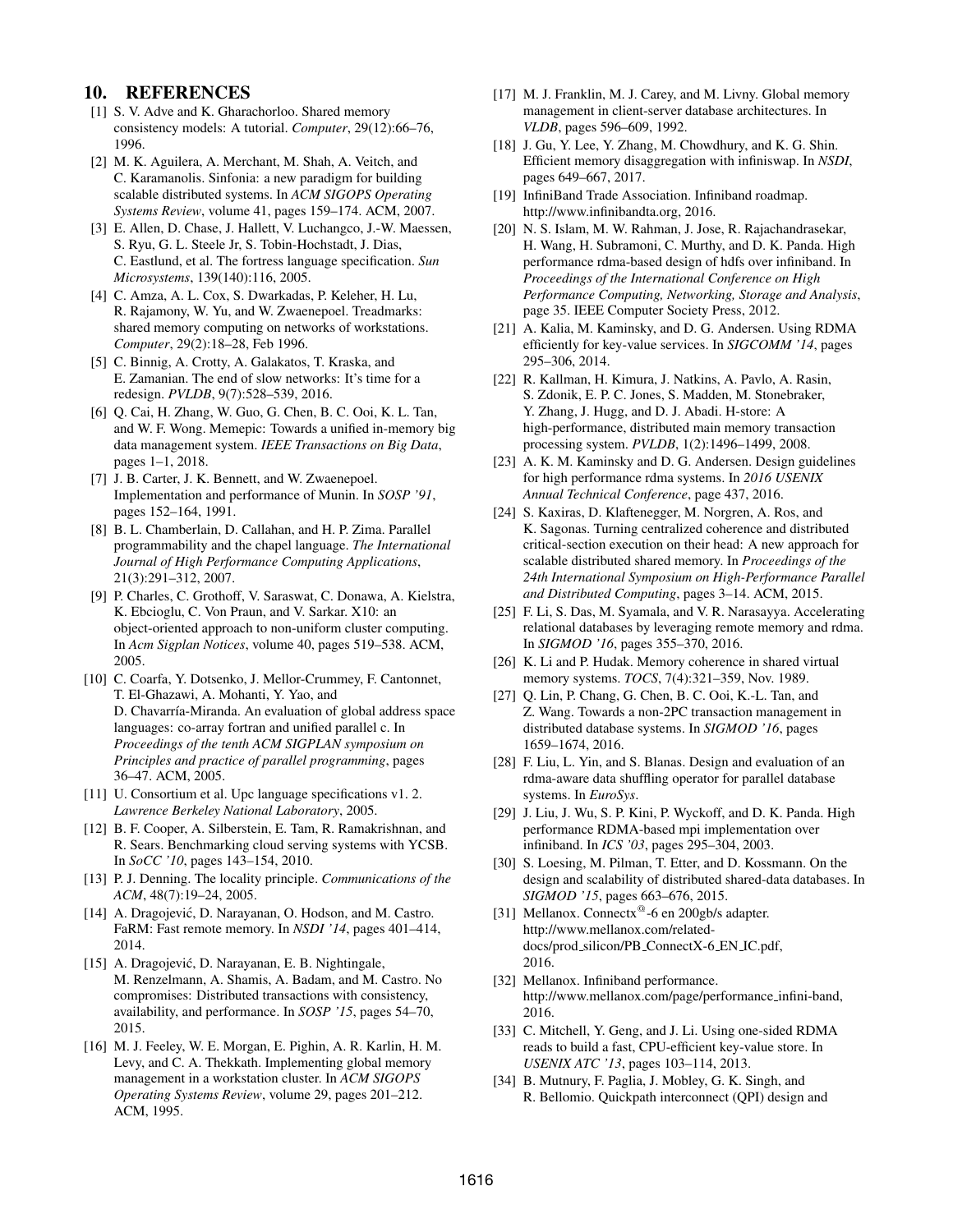## 10. REFERENCES

- [1] S. V. Adve and K. Gharachorloo. Shared memory consistency models: A tutorial. *Computer*, 29(12):66–76, 1996.
- [2] M. K. Aguilera, A. Merchant, M. Shah, A. Veitch, and C. Karamanolis. Sinfonia: a new paradigm for building scalable distributed systems. In *ACM SIGOPS Operating Systems Review*, volume 41, pages 159–174. ACM, 2007.
- [3] E. Allen, D. Chase, J. Hallett, V. Luchangco, J.-W. Maessen, S. Ryu, G. L. Steele Jr, S. Tobin-Hochstadt, J. Dias, C. Eastlund, et al. The fortress language specification. *Sun Microsystems*, 139(140):116, 2005.
- [4] C. Amza, A. L. Cox, S. Dwarkadas, P. Keleher, H. Lu, R. Rajamony, W. Yu, and W. Zwaenepoel. Treadmarks: shared memory computing on networks of workstations. *Computer*, 29(2):18–28, Feb 1996.
- [5] C. Binnig, A. Crotty, A. Galakatos, T. Kraska, and E. Zamanian. The end of slow networks: It's time for a redesign. *PVLDB*, 9(7):528–539, 2016.
- [6] Q. Cai, H. Zhang, W. Guo, G. Chen, B. C. Ooi, K. L. Tan, and W. F. Wong. Memepic: Towards a unified in-memory big data management system. *IEEE Transactions on Big Data*, pages 1–1, 2018.
- [7] J. B. Carter, J. K. Bennett, and W. Zwaenepoel. Implementation and performance of Munin. In *SOSP '91*, pages 152–164, 1991.
- [8] B. L. Chamberlain, D. Callahan, and H. P. Zima. Parallel programmability and the chapel language. *The International Journal of High Performance Computing Applications*, 21(3):291–312, 2007.
- [9] P. Charles, C. Grothoff, V. Saraswat, C. Donawa, A. Kielstra, K. Ebcioglu, C. Von Praun, and V. Sarkar. X10: an object-oriented approach to non-uniform cluster computing. In *Acm Sigplan Notices*, volume 40, pages 519–538. ACM, 2005.
- [10] C. Coarfa, Y. Dotsenko, J. Mellor-Crummey, F. Cantonnet, T. El-Ghazawi, A. Mohanti, Y. Yao, and D. Chavarría-Miranda. An evaluation of global address space languages: co-array fortran and unified parallel c. In *Proceedings of the tenth ACM SIGPLAN symposium on Principles and practice of parallel programming*, pages 36–47. ACM, 2005.
- [11] U. Consortium et al. Upc language specifications v1. 2. *Lawrence Berkeley National Laboratory*, 2005.
- [12] B. F. Cooper, A. Silberstein, E. Tam, R. Ramakrishnan, and R. Sears. Benchmarking cloud serving systems with YCSB. In *SoCC '10*, pages 143–154, 2010.
- [13] P. J. Denning. The locality principle. *Communications of the ACM*, 48(7):19–24, 2005.
- [14] A. Dragojević, D. Narayanan, O. Hodson, and M. Castro. FaRM: Fast remote memory. In *NSDI '14*, pages 401–414, 2014.
- [15] A. Dragojević, D. Narayanan, E. B. Nightingale, M. Renzelmann, A. Shamis, A. Badam, and M. Castro. No compromises: Distributed transactions with consistency, availability, and performance. In *SOSP '15*, pages 54–70, 2015.
- [16] M. J. Feeley, W. E. Morgan, E. Pighin, A. R. Karlin, H. M. Levy, and C. A. Thekkath. Implementing global memory management in a workstation cluster. In *ACM SIGOPS Operating Systems Review*, volume 29, pages 201–212. ACM, 1995.
- [17] M. J. Franklin, M. J. Carey, and M. Livny. Global memory management in client-server database architectures. In *VLDB*, pages 596–609, 1992.
- [18] J. Gu, Y. Lee, Y. Zhang, M. Chowdhury, and K. G. Shin. Efficient memory disaggregation with infiniswap. In *NSDI*, pages 649–667, 2017.
- [19] InfiniBand Trade Association. Infiniband roadmap. http://www.infinibandta.org, 2016.
- [20] N. S. Islam, M. W. Rahman, J. Jose, R. Rajachandrasekar, H. Wang, H. Subramoni, C. Murthy, and D. K. Panda. High performance rdma-based design of hdfs over infiniband. In *Proceedings of the International Conference on High Performance Computing, Networking, Storage and Analysis*, page 35. IEEE Computer Society Press, 2012.
- [21] A. Kalia, M. Kaminsky, and D. G. Andersen. Using RDMA efficiently for key-value services. In *SIGCOMM '14*, pages 295–306, 2014.
- [22] R. Kallman, H. Kimura, J. Natkins, A. Pavlo, A. Rasin, S. Zdonik, E. P. C. Jones, S. Madden, M. Stonebraker, Y. Zhang, J. Hugg, and D. J. Abadi. H-store: A high-performance, distributed main memory transaction processing system. *PVLDB*, 1(2):1496–1499, 2008.
- [23] A. K. M. Kaminsky and D. G. Andersen. Design guidelines for high performance rdma systems. In *2016 USENIX Annual Technical Conference*, page 437, 2016.
- [24] S. Kaxiras, D. Klaftenegger, M. Norgren, A. Ros, and K. Sagonas. Turning centralized coherence and distributed critical-section execution on their head: A new approach for scalable distributed shared memory. In *Proceedings of the 24th International Symposium on High-Performance Parallel and Distributed Computing*, pages 3–14. ACM, 2015.
- [25] F. Li, S. Das, M. Syamala, and V. R. Narasayya. Accelerating relational databases by leveraging remote memory and rdma. In *SIGMOD '16*, pages 355–370, 2016.
- [26] K. Li and P. Hudak. Memory coherence in shared virtual memory systems. *TOCS*, 7(4):321–359, Nov. 1989.
- [27] O. Lin, P. Chang, G. Chen, B. C. Ooi, K.-L. Tan, and Z. Wang. Towards a non-2PC transaction management in distributed database systems. In *SIGMOD '16*, pages 1659–1674, 2016.
- [28] F. Liu, L. Yin, and S. Blanas. Design and evaluation of an rdma-aware data shuffling operator for parallel database systems. In *EuroSys*.
- [29] J. Liu, J. Wu, S. P. Kini, P. Wyckoff, and D. K. Panda. High performance RDMA-based mpi implementation over infiniband. In *ICS '03*, pages 295–304, 2003.
- [30] S. Loesing, M. Pilman, T. Etter, and D. Kossmann. On the design and scalability of distributed shared-data databases. In *SIGMOD '15*, pages 663–676, 2015.
- [31] Mellanox. Connectx<sup>®</sup>-6 en 200gb/s adapter. http://www.mellanox.com/relateddocs/prod silicon/PB ConnectX-6 EN IC.pdf, 2016.
- [32] Mellanox. Infiniband performance. http://www.mellanox.com/page/performance infini-band, 2016.
- [33] C. Mitchell, Y. Geng, and J. Li. Using one-sided RDMA reads to build a fast, CPU-efficient key-value store. In *USENIX ATC '13*, pages 103–114, 2013.
- [34] B. Mutnury, F. Paglia, J. Mobley, G. K. Singh, and R. Bellomio. Quickpath interconnect (QPI) design and